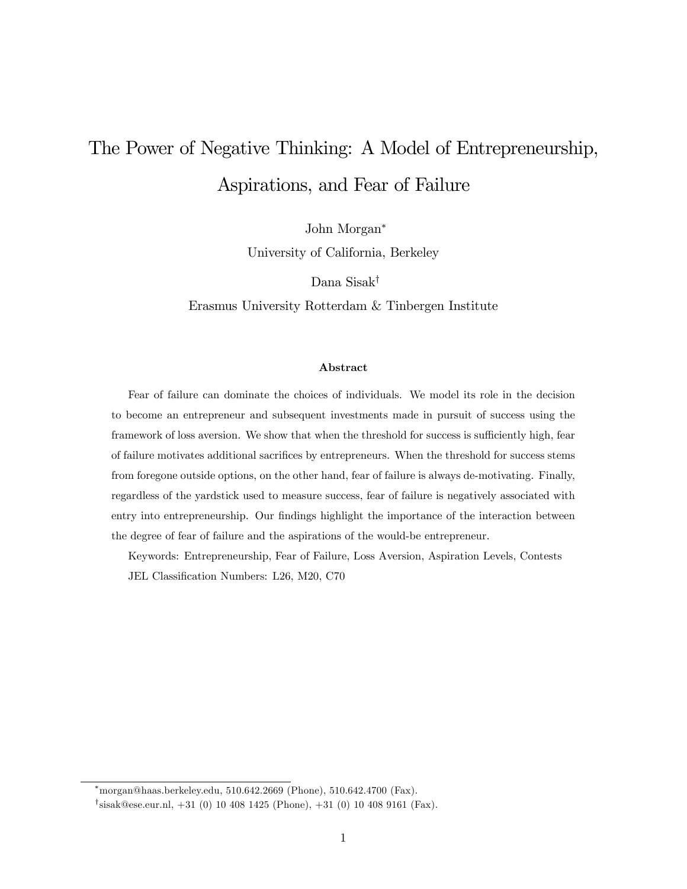# The Power of Negative Thinking: A Model of Entrepreneurship, Aspirations, and Fear of Failure

John Morgan

University of California, Berkeley

Dana Sisak $^{\dagger}$ 

Erasmus University Rotterdam & Tinbergen Institute

#### Abstract

Fear of failure can dominate the choices of individuals. We model its role in the decision to become an entrepreneur and subsequent investments made in pursuit of success using the framework of loss aversion. We show that when the threshold for success is sufficiently high, fear of failure motivates additional sacrifices by entrepreneurs. When the threshold for success stems from foregone outside options, on the other hand, fear of failure is always de-motivating. Finally, regardless of the yardstick used to measure success, fear of failure is negatively associated with entry into entrepreneurship. Our findings highlight the importance of the interaction between the degree of fear of failure and the aspirations of the would-be entrepreneur.

Keywords: Entrepreneurship, Fear of Failure, Loss Aversion, Aspiration Levels, Contests JEL Classification Numbers: L26, M20, C70

morgan@haas.berkeley.edu, 510.642.2669 (Phone), 510.642.4700 (Fax).

 $\text{t}$ sisak@ese.eur.nl, +31 (0) 10 408 1425 (Phone), +31 (0) 10 408 9161 (Fax).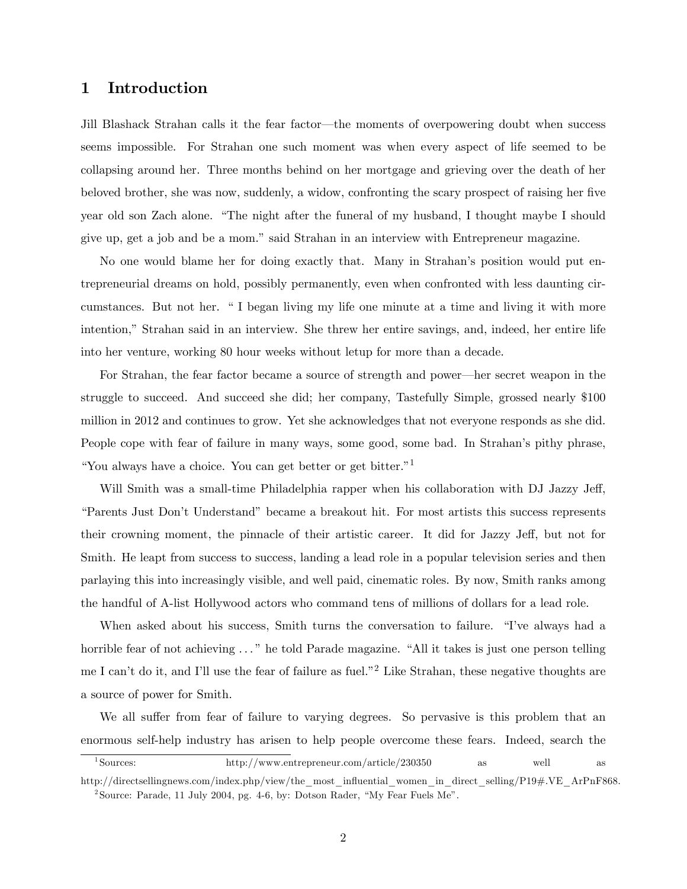# 1 Introduction

Jill Blashack Strahan calls it the fear factor—the moments of overpowering doubt when success seems impossible. For Strahan one such moment was when every aspect of life seemed to be collapsing around her. Three months behind on her mortgage and grieving over the death of her beloved brother, she was now, suddenly, a widow, confronting the scary prospect of raising her five year old son Zach alone. "The night after the funeral of my husband, I thought maybe I should give up, get a job and be a mom.î said Strahan in an interview with Entrepreneur magazine.

No one would blame her for doing exactly that. Many in Strahanís position would put entrepreneurial dreams on hold, possibly permanently, even when confronted with less daunting circumstances. But not her. "I began living my life one minute at a time and living it with more intention," Strahan said in an interview. She threw her entire savings, and, indeed, her entire life into her venture, working 80 hour weeks without letup for more than a decade.

For Strahan, the fear factor became a source of strength and power—her secret weapon in the struggle to succeed. And succeed she did; her company, Tastefully Simple, grossed nearly \$100 million in 2012 and continues to grow. Yet she acknowledges that not everyone responds as she did. People cope with fear of failure in many ways, some good, some bad. In Strahan's pithy phrase, "You always have a choice. You can get better or get bitter."<sup>1</sup>

Will Smith was a small-time Philadelphia rapper when his collaboration with DJ Jazzy Jeff, ìParents Just Donít Understandî became a breakout hit. For most artists this success represents their crowning moment, the pinnacle of their artistic career. It did for Jazzy Jeff, but not for Smith. He leapt from success to success, landing a lead role in a popular television series and then parlaying this into increasingly visible, and well paid, cinematic roles. By now, Smith ranks among the handful of A-list Hollywood actors who command tens of millions of dollars for a lead role.

When asked about his success, Smith turns the conversation to failure. "I've always had a horrible fear of not achieving ..." he told Parade magazine. "All it takes is just one person telling me I can't do it, and I'll use the fear of failure as fuel.<sup>"2</sup> Like Strahan, these negative thoughts are a source of power for Smith.

We all suffer from fear of failure to varying degrees. So pervasive is this problem that an enormous self-help industry has arisen to help people overcome these fears. Indeed, search the

 $1$ Sources: http://www.entrepreneur.com/article/230350 as well as http://directsellingnews.com/index.php/view/the\_most\_ináuential\_women\_in\_direct\_selling/P19#.VE\_ArPnF868.

 $^2$ Source: Parade, 11 July 2004, pg. 4-6, by: Dotson Rader, "My Fear Fuels Me".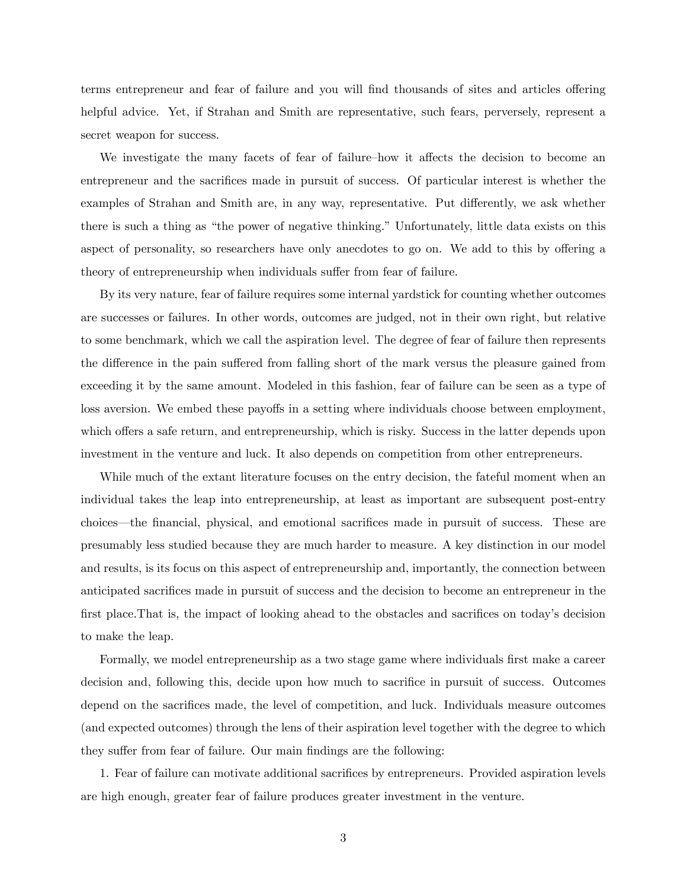terms entrepreneur and fear of failure and you will find thousands of sites and articles offering helpful advice. Yet, if Strahan and Smith are representative, such fears, perversely, represent a secret weapon for success.

We investigate the many facets of fear of failure–how it affects the decision to become an entrepreneur and the sacrifices made in pursuit of success. Of particular interest is whether the examples of Strahan and Smith are, in any way, representative. Put differently, we ask whether there is such a thing as "the power of negative thinking." Unfortunately, little data exists on this aspect of personality, so researchers have only anecdotes to go on. We add to this by offering a theory of entrepreneurship when individuals suffer from fear of failure.

By its very nature, fear of failure requires some internal yardstick for counting whether outcomes are successes or failures. In other words, outcomes are judged, not in their own right, but relative to some benchmark, which we call the aspiration level. The degree of fear of failure then represents the difference in the pain suffered from falling short of the mark versus the pleasure gained from exceeding it by the same amount. Modeled in this fashion, fear of failure can be seen as a type of loss aversion. We embed these payoffs in a setting where individuals choose between employment, which offers a safe return, and entrepreneurship, which is risky. Success in the latter depends upon investment in the venture and luck. It also depends on competition from other entrepreneurs.

While much of the extant literature focuses on the entry decision, the fateful moment when an individual takes the leap into entrepreneurship, at least as important are subsequent post-entry choices—the financial, physical, and emotional sacrifices made in pursuit of success. These are presumably less studied because they are much harder to measure. A key distinction in our model and results, is its focus on this aspect of entrepreneurship and, importantly, the connection between anticipated sacrifices made in pursuit of success and the decision to become an entrepreneur in the first place. That is, the impact of looking ahead to the obstacles and sacrifices on today's decision to make the leap.

Formally, we model entrepreneurship as a two stage game where individuals first make a career decision and, following this, decide upon how much to sacrifice in pursuit of success. Outcomes depend on the sacrifices made, the level of competition, and luck. Individuals measure outcomes (and expected outcomes) through the lens of their aspiration level together with the degree to which they suffer from fear of failure. Our main findings are the following:

1. Fear of failure can motivate additional sacrifices by entrepreneurs. Provided aspiration levels are high enough, greater fear of failure produces greater investment in the venture.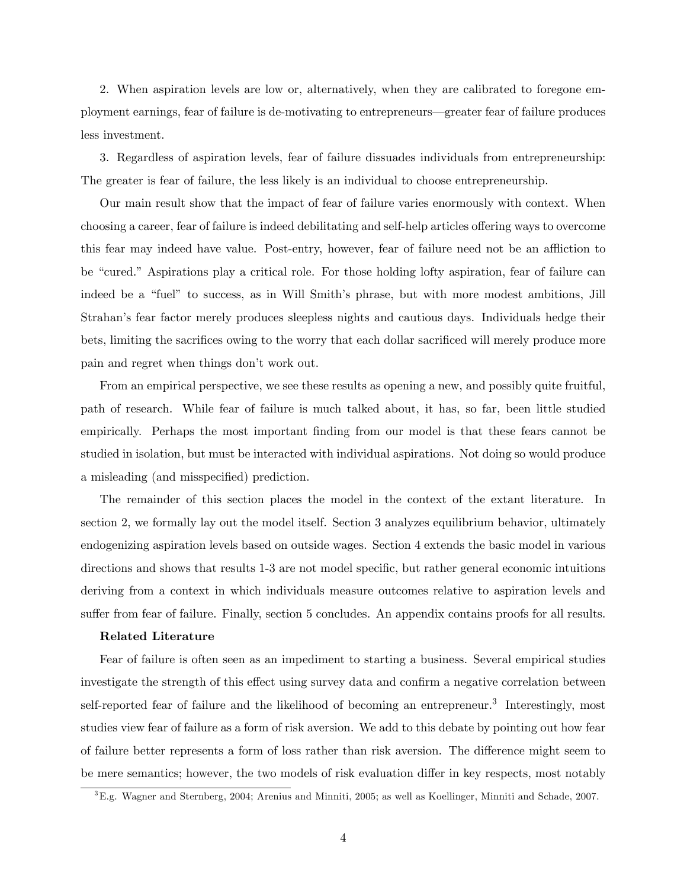2. When aspiration levels are low or, alternatively, when they are calibrated to foregone employment earnings, fear of failure is de-motivating to entrepreneurs—greater fear of failure produces less investment.

3. Regardless of aspiration levels, fear of failure dissuades individuals from entrepreneurship: The greater is fear of failure, the less likely is an individual to choose entrepreneurship.

Our main result show that the impact of fear of failure varies enormously with context. When choosing a career, fear of failure is indeed debilitating and self-help articles offering ways to overcome this fear may indeed have value. Post-entry, however, fear of failure need not be an affliction to be "cured." Aspirations play a critical role. For those holding lofty aspiration, fear of failure can indeed be a "fuel" to success, as in Will Smith's phrase, but with more modest ambitions, Jill Strahanís fear factor merely produces sleepless nights and cautious days. Individuals hedge their bets, limiting the sacrifices owing to the worry that each dollar sacrificed will merely produce more pain and regret when things don't work out.

From an empirical perspective, we see these results as opening a new, and possibly quite fruitful, path of research. While fear of failure is much talked about, it has, so far, been little studied empirically. Perhaps the most important finding from our model is that these fears cannot be studied in isolation, but must be interacted with individual aspirations. Not doing so would produce a misleading (and misspecified) prediction.

The remainder of this section places the model in the context of the extant literature. In section 2, we formally lay out the model itself. Section 3 analyzes equilibrium behavior, ultimately endogenizing aspiration levels based on outside wages. Section 4 extends the basic model in various directions and shows that results 1-3 are not model specific, but rather general economic intuitions deriving from a context in which individuals measure outcomes relative to aspiration levels and suffer from fear of failure. Finally, section 5 concludes. An appendix contains proofs for all results.

#### Related Literature

Fear of failure is often seen as an impediment to starting a business. Several empirical studies investigate the strength of this effect using survey data and confirm a negative correlation between self-reported fear of failure and the likelihood of becoming an entrepreneur.<sup>3</sup> Interestingly, most studies view fear of failure as a form of risk aversion. We add to this debate by pointing out how fear of failure better represents a form of loss rather than risk aversion. The difference might seem to be mere semantics; however, the two models of risk evaluation differ in key respects, most notably

<sup>3</sup>E.g. Wagner and Sternberg, 2004; Arenius and Minniti, 2005; as well as Koellinger, Minniti and Schade, 2007.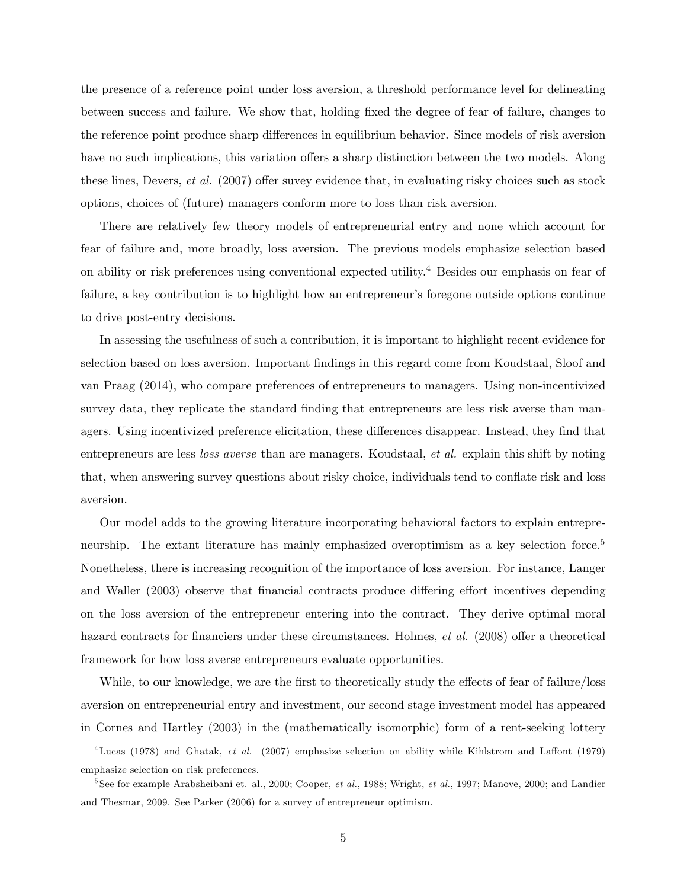the presence of a reference point under loss aversion, a threshold performance level for delineating between success and failure. We show that, holding Öxed the degree of fear of failure, changes to the reference point produce sharp differences in equilibrium behavior. Since models of risk aversion have no such implications, this variation offers a sharp distinction between the two models. Along these lines, Devers, et al.  $(2007)$  offer suvey evidence that, in evaluating risky choices such as stock options, choices of (future) managers conform more to loss than risk aversion.

There are relatively few theory models of entrepreneurial entry and none which account for fear of failure and, more broadly, loss aversion. The previous models emphasize selection based on ability or risk preferences using conventional expected utility.<sup>4</sup> Besides our emphasis on fear of failure, a key contribution is to highlight how an entrepreneur's foregone outside options continue to drive post-entry decisions.

In assessing the usefulness of such a contribution, it is important to highlight recent evidence for selection based on loss aversion. Important findings in this regard come from Koudstaal, Sloof and van Praag (2014), who compare preferences of entrepreneurs to managers. Using non-incentivized survey data, they replicate the standard finding that entrepreneurs are less risk averse than managers. Using incentivized preference elicitation, these differences disappear. Instead, they find that entrepreneurs are less loss averse than are managers. Koudstaal, et al. explain this shift by noting that, when answering survey questions about risky choice, individuals tend to conflate risk and loss aversion.

Our model adds to the growing literature incorporating behavioral factors to explain entrepreneurship. The extant literature has mainly emphasized overoptimism as a key selection force.<sup>5</sup> Nonetheless, there is increasing recognition of the importance of loss aversion. For instance, Langer and Waller (2003) observe that financial contracts produce differing effort incentives depending on the loss aversion of the entrepreneur entering into the contract. They derive optimal moral hazard contracts for financiers under these circumstances. Holmes, *et al.* (2008) offer a theoretical framework for how loss averse entrepreneurs evaluate opportunities.

While, to our knowledge, we are the first to theoretically study the effects of fear of failure/loss aversion on entrepreneurial entry and investment, our second stage investment model has appeared in Cornes and Hartley (2003) in the (mathematically isomorphic) form of a rent-seeking lottery

 $^{4}$ Lucas (1978) and Ghatak, *et al.* (2007) emphasize selection on ability while Kihlstrom and Laffont (1979) emphasize selection on risk preferences.

<sup>&</sup>lt;sup>5</sup>See for example Arabsheibani et. al., 2000; Cooper, *et al.*, 1988; Wright, *et al.*, 1997; Manove, 2000; and Landier and Thesmar, 2009. See Parker (2006) for a survey of entrepreneur optimism.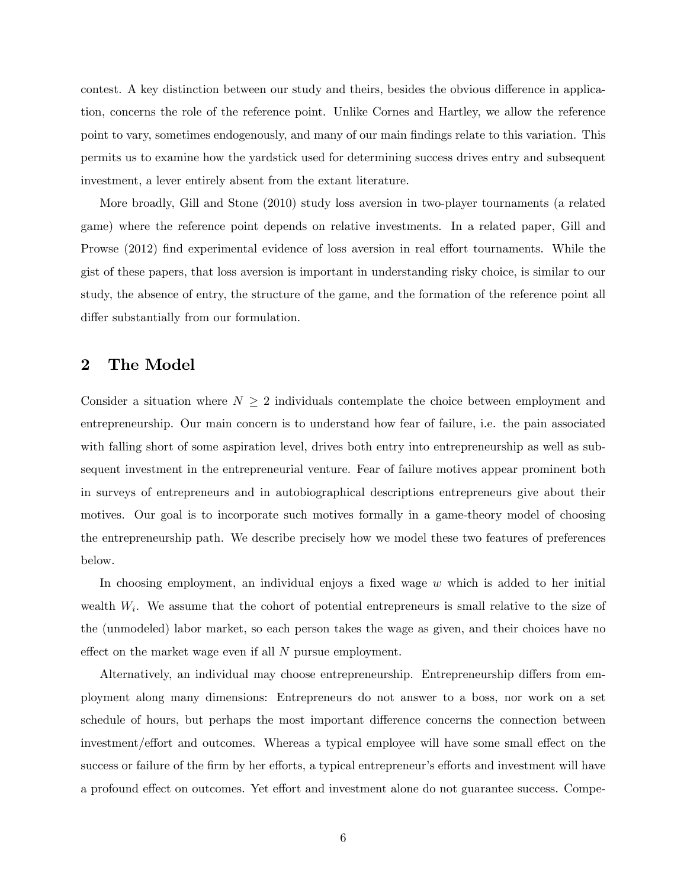contest. A key distinction between our study and theirs, besides the obvious difference in application, concerns the role of the reference point. Unlike Cornes and Hartley, we allow the reference point to vary, sometimes endogenously, and many of our main findings relate to this variation. This permits us to examine how the yardstick used for determining success drives entry and subsequent investment, a lever entirely absent from the extant literature.

More broadly, Gill and Stone (2010) study loss aversion in two-player tournaments (a related game) where the reference point depends on relative investments. In a related paper, Gill and Prowse (2012) find experimental evidence of loss aversion in real effort tournaments. While the gist of these papers, that loss aversion is important in understanding risky choice, is similar to our study, the absence of entry, the structure of the game, and the formation of the reference point all differ substantially from our formulation.

## 2 The Model

Consider a situation where  $N \geq 2$  individuals contemplate the choice between employment and entrepreneurship. Our main concern is to understand how fear of failure, i.e. the pain associated with falling short of some aspiration level, drives both entry into entrepreneurship as well as subsequent investment in the entrepreneurial venture. Fear of failure motives appear prominent both in surveys of entrepreneurs and in autobiographical descriptions entrepreneurs give about their motives. Our goal is to incorporate such motives formally in a game-theory model of choosing the entrepreneurship path. We describe precisely how we model these two features of preferences below.

In choosing employment, an individual enjoys a fixed wage  $w$  which is added to her initial wealth  $W_i$ . We assume that the cohort of potential entrepreneurs is small relative to the size of the (unmodeled) labor market, so each person takes the wage as given, and their choices have no effect on the market wage even if all  $N$  pursue employment.

Alternatively, an individual may choose entrepreneurship. Entrepreneurship differs from employment along many dimensions: Entrepreneurs do not answer to a boss, nor work on a set schedule of hours, but perhaps the most important difference concerns the connection between investment/effort and outcomes. Whereas a typical employee will have some small effect on the success or failure of the firm by her efforts, a typical entrepreneur's efforts and investment will have a profound effect on outcomes. Yet effort and investment alone do not guarantee success. Compe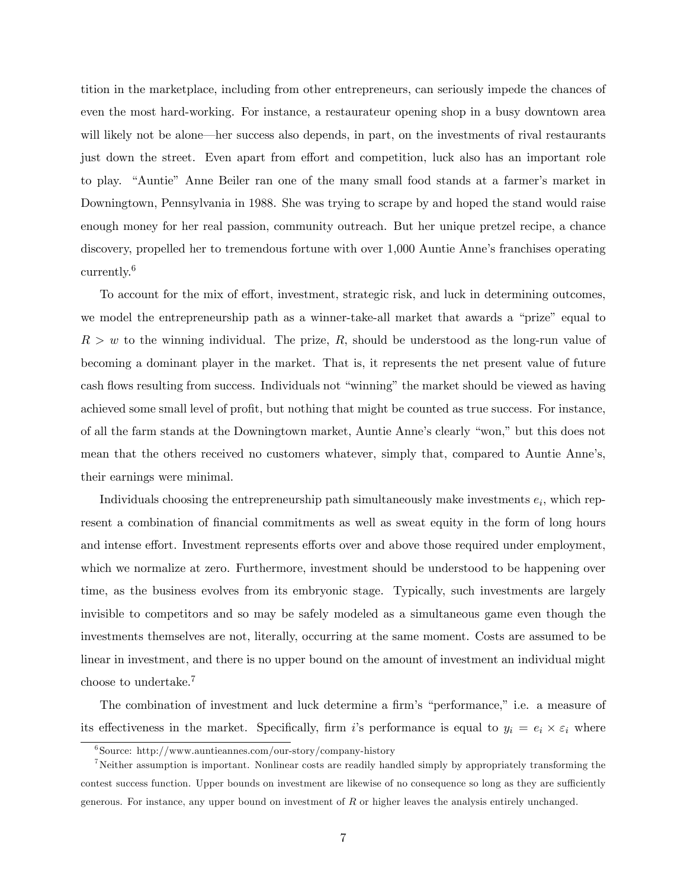tition in the marketplace, including from other entrepreneurs, can seriously impede the chances of even the most hard-working. For instance, a restaurateur opening shop in a busy downtown area will likely not be alone—her success also depends, in part, on the investments of rival restaurants just down the street. Even apart from effort and competition, luck also has an important role to play. "Auntie" Anne Beiler ran one of the many small food stands at a farmer's market in Downingtown, Pennsylvania in 1988. She was trying to scrape by and hoped the stand would raise enough money for her real passion, community outreach. But her unique pretzel recipe, a chance discovery, propelled her to tremendous fortune with over 1,000 Auntie Anne's franchises operating currently.<sup>6</sup>

To account for the mix of effort, investment, strategic risk, and luck in determining outcomes, we model the entrepreneurship path as a winner-take-all market that awards a "prize" equal to  $R > w$  to the winning individual. The prize, R, should be understood as the long-run value of becoming a dominant player in the market. That is, it represents the net present value of future cash flows resulting from success. Individuals not "winning" the market should be viewed as having achieved some small level of profit, but nothing that might be counted as true success. For instance, of all the farm stands at the Downingtown market, Auntie Anne's clearly "won," but this does not mean that the others received no customers whatever, simply that, compared to Auntie Anne's, their earnings were minimal.

Individuals choosing the entrepreneurship path simultaneously make investments  $e_i$ , which represent a combination of financial commitments as well as sweat equity in the form of long hours and intense effort. Investment represents efforts over and above those required under employment, which we normalize at zero. Furthermore, investment should be understood to be happening over time, as the business evolves from its embryonic stage. Typically, such investments are largely invisible to competitors and so may be safely modeled as a simultaneous game even though the investments themselves are not, literally, occurring at the same moment. Costs are assumed to be linear in investment, and there is no upper bound on the amount of investment an individual might choose to undertake.<sup>7</sup>

The combination of investment and luck determine a firm's "performance," i.e. a measure of its effectiveness in the market. Specifically, firm i's performance is equal to  $y_i = e_i \times \varepsilon_i$  where

<sup>6</sup> Source: http://www.auntieannes.com/our-story/company-history

<sup>7</sup>Neither assumption is important. Nonlinear costs are readily handled simply by appropriately transforming the contest success function. Upper bounds on investment are likewise of no consequence so long as they are sufficiently generous. For instance, any upper bound on investment of  $R$  or higher leaves the analysis entirely unchanged.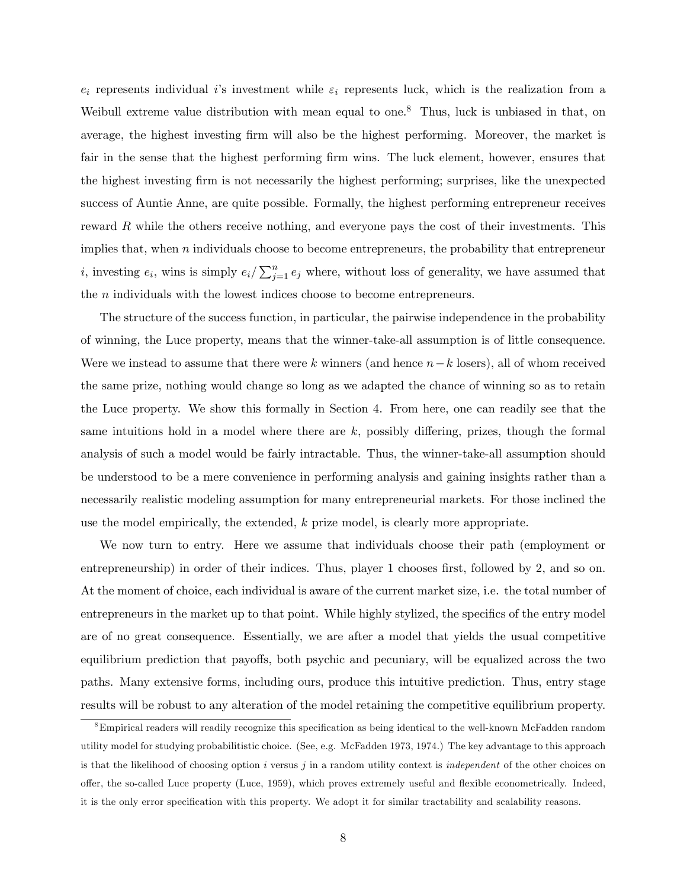$e_i$  represents individual i's investment while  $\varepsilon_i$  represents luck, which is the realization from a Weibull extreme value distribution with mean equal to one.<sup>8</sup> Thus, luck is unbiased in that, on average, the highest investing firm will also be the highest performing. Moreover, the market is fair in the sense that the highest performing firm wins. The luck element, however, ensures that the highest investing Örm is not necessarily the highest performing; surprises, like the unexpected success of Auntie Anne, are quite possible. Formally, the highest performing entrepreneur receives reward R while the others receive nothing, and everyone pays the cost of their investments. This implies that, when  $n$  individuals choose to become entrepreneurs, the probability that entrepreneur *i*, investing  $e_i$ , wins is simply  $e_i / \sum_{j=1}^n e_j$  where, without loss of generality, we have assumed that the  $n$  individuals with the lowest indices choose to become entrepreneurs.

The structure of the success function, in particular, the pairwise independence in the probability of winning, the Luce property, means that the winner-take-all assumption is of little consequence. Were we instead to assume that there were k winners (and hence  $n-k$  losers), all of whom received the same prize, nothing would change so long as we adapted the chance of winning so as to retain the Luce property. We show this formally in Section 4. From here, one can readily see that the same intuitions hold in a model where there are  $k$ , possibly differing, prizes, though the formal analysis of such a model would be fairly intractable. Thus, the winner-take-all assumption should be understood to be a mere convenience in performing analysis and gaining insights rather than a necessarily realistic modeling assumption for many entrepreneurial markets. For those inclined the use the model empirically, the extended, k prize model, is clearly more appropriate.

We now turn to entry. Here we assume that individuals choose their path (employment or entrepreneurship) in order of their indices. Thus, player 1 chooses first, followed by 2, and so on. At the moment of choice, each individual is aware of the current market size, i.e. the total number of entrepreneurs in the market up to that point. While highly stylized, the specifics of the entry model are of no great consequence. Essentially, we are after a model that yields the usual competitive equilibrium prediction that payoffs, both psychic and pecuniary, will be equalized across the two paths. Many extensive forms, including ours, produce this intuitive prediction. Thus, entry stage results will be robust to any alteration of the model retaining the competitive equilibrium property.

 $8$ Empirical readers will readily recognize this specification as being identical to the well-known McFadden random utility model for studying probabilitistic choice. (See, e.g. McFadden 1973, 1974.) The key advantage to this approach is that the likelihood of choosing option i versus j in a random utility context is independent of the other choices on offer, the so-called Luce property (Luce, 1959), which proves extremely useful and flexible econometrically. Indeed, it is the only error specification with this property. We adopt it for similar tractability and scalability reasons.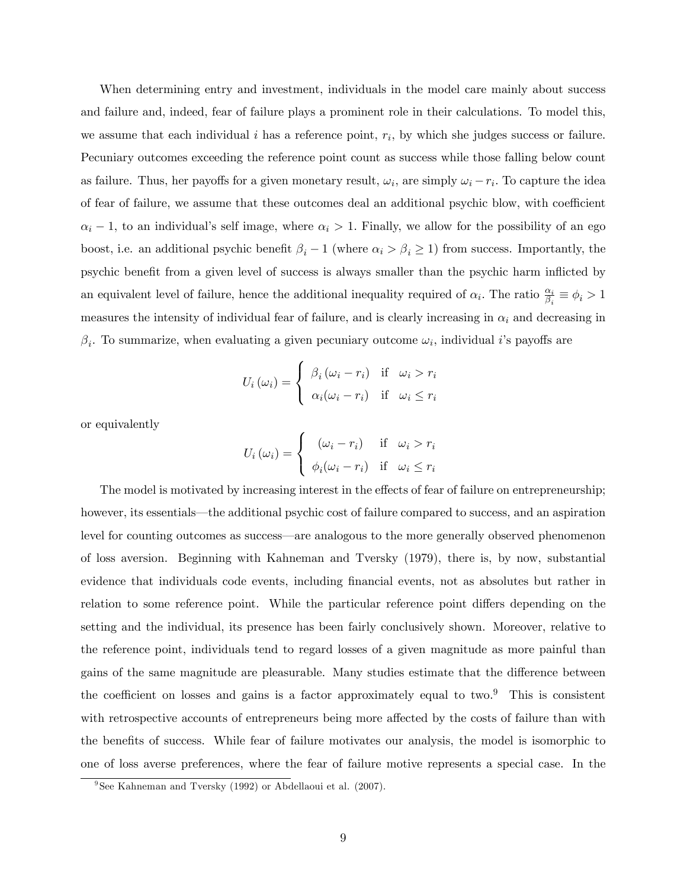When determining entry and investment, individuals in the model care mainly about success and failure and, indeed, fear of failure plays a prominent role in their calculations. To model this, we assume that each individual  $i$  has a reference point,  $r_i$ , by which she judges success or failure. Pecuniary outcomes exceeding the reference point count as success while those falling below count as failure. Thus, her payoffs for a given monetary result,  $\omega_i$ , are simply  $\omega_i - r_i$ . To capture the idea of fear of failure, we assume that these outcomes deal an additional psychic blow, with coefficient  $\alpha_i - 1$ , to an individual's self image, where  $\alpha_i > 1$ . Finally, we allow for the possibility of an ego boost, i.e. an additional psychic benefit  $\beta_i - 1$  (where  $\alpha_i > \beta_i \geq 1$ ) from success. Importantly, the psychic benefit from a given level of success is always smaller than the psychic harm inflicted by an equivalent level of failure, hence the additional inequality required of  $\alpha_i$ . The ratio  $\frac{\alpha_i}{\beta_i} \equiv \phi_i > 1$ measures the intensity of individual fear of failure, and is clearly increasing in  $\alpha_i$  and decreasing in  $\beta_i$ . To summarize, when evaluating a given pecuniary outcome  $\omega_i$ , individual *i*'s payoffs are

$$
U_i(\omega_i) = \begin{cases} \beta_i (\omega_i - r_i) & \text{if } \omega_i > r_i \\ \alpha_i (\omega_i - r_i) & \text{if } \omega_i \leq r_i \end{cases}
$$

or equivalently

$$
U_i(\omega_i) = \begin{cases} (\omega_i - r_i) & \text{if } \omega_i > r_i \\ \phi_i(\omega_i - r_i) & \text{if } \omega_i \leq r_i \end{cases}
$$

The model is motivated by increasing interest in the effects of fear of failure on entrepreneurship; however, its essentials—the additional psychic cost of failure compared to success, and an aspiration level for counting outcomes as success—are analogous to the more generally observed phenomenon of loss aversion. Beginning with Kahneman and Tversky (1979), there is, by now, substantial evidence that individuals code events, including financial events, not as absolutes but rather in relation to some reference point. While the particular reference point differs depending on the setting and the individual, its presence has been fairly conclusively shown. Moreover, relative to the reference point, individuals tend to regard losses of a given magnitude as more painful than gains of the same magnitude are pleasurable. Many studies estimate that the difference between the coefficient on losses and gains is a factor approximately equal to two.<sup>9</sup> This is consistent with retrospective accounts of entrepreneurs being more affected by the costs of failure than with the benefits of success. While fear of failure motivates our analysis, the model is isomorphic to one of loss averse preferences, where the fear of failure motive represents a special case. In the

<sup>&</sup>lt;sup>9</sup> See Kahneman and Tversky (1992) or Abdellaoui et al. (2007).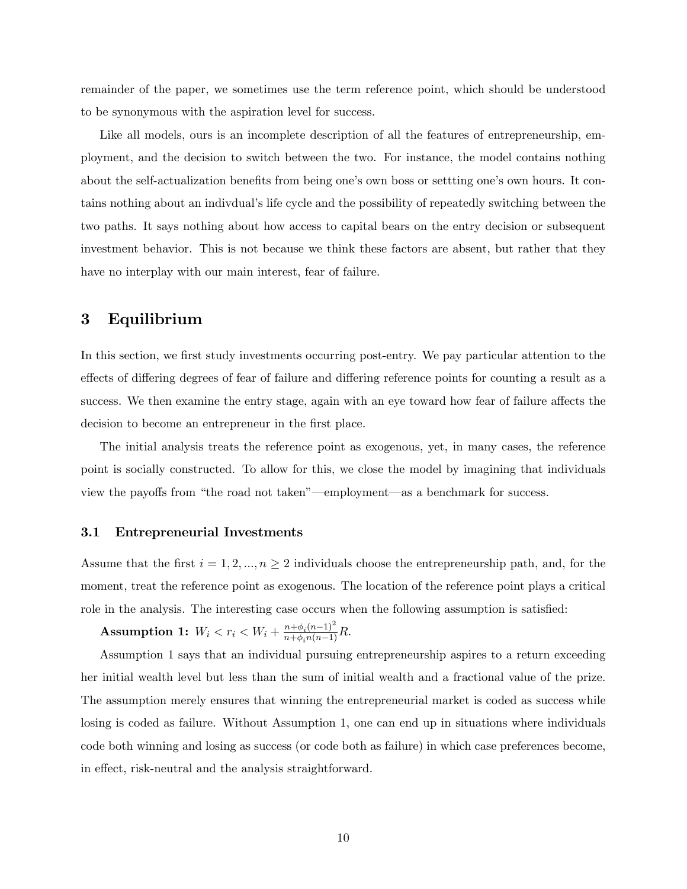remainder of the paper, we sometimes use the term reference point, which should be understood to be synonymous with the aspiration level for success.

Like all models, ours is an incomplete description of all the features of entrepreneurship, employment, and the decision to switch between the two. For instance, the model contains nothing about the self-actualization benefits from being one's own boss or settting one's own hours. It contains nothing about an indivdual's life cycle and the possibility of repeatedly switching between the two paths. It says nothing about how access to capital bears on the entry decision or subsequent investment behavior. This is not because we think these factors are absent, but rather that they have no interplay with our main interest, fear of failure.

# 3 Equilibrium

In this section, we first study investments occurring post-entry. We pay particular attention to the effects of differing degrees of fear of failure and differing reference points for counting a result as a success. We then examine the entry stage, again with an eye toward how fear of failure affects the decision to become an entrepreneur in the first place.

The initial analysis treats the reference point as exogenous, yet, in many cases, the reference point is socially constructed. To allow for this, we close the model by imagining that individuals view the payoffs from "the road not taken"—employment—as a benchmark for success.

#### 3.1 Entrepreneurial Investments

Assume that the first  $i = 1, 2, ..., n \ge 2$  individuals choose the entrepreneurship path, and, for the moment, treat the reference point as exogenous. The location of the reference point plays a critical role in the analysis. The interesting case occurs when the following assumption is satisfied:

Assumption 1:  $W_i < r_i < W_i + \frac{n + \phi_i (n-1)^2}{n + \phi_i n (n-1)} R$ .

Assumption 1 says that an individual pursuing entrepreneurship aspires to a return exceeding her initial wealth level but less than the sum of initial wealth and a fractional value of the prize. The assumption merely ensures that winning the entrepreneurial market is coded as success while losing is coded as failure. Without Assumption 1, one can end up in situations where individuals code both winning and losing as success (or code both as failure) in which case preferences become, in effect, risk-neutral and the analysis straightforward.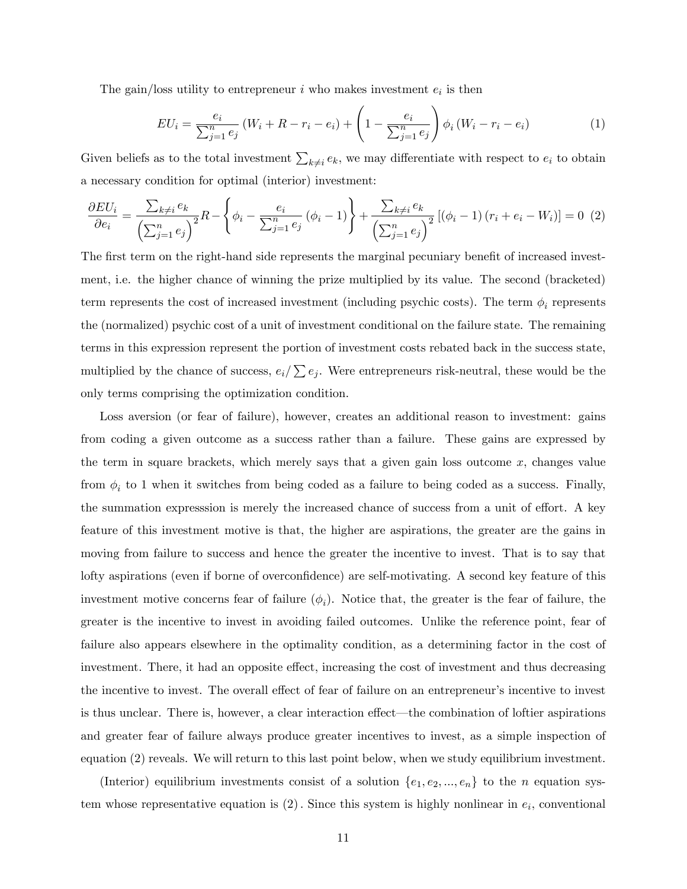The gain/loss utility to entrepreneur  $i$  who makes investment  $e_i$  is then

$$
EU_i = \frac{e_i}{\sum_{j=1}^n e_j} (W_i + R - r_i - e_i) + \left(1 - \frac{e_i}{\sum_{j=1}^n e_j}\right) \phi_i (W_i - r_i - e_i)
$$
(1)

Given beliefs as to the total investment  $\sum_{k\neq i} e_k$ , we may differentiate with respect to  $e_i$  to obtain a necessary condition for optimal (interior) investment:

$$
\frac{\partial EU_i}{\partial e_i} = \frac{\sum_{k \neq i} e_k}{\left(\sum_{j=1}^n e_j\right)^2} R - \left\{\phi_i - \frac{e_i}{\sum_{j=1}^n e_j} \left(\phi_i - 1\right) \right\} + \frac{\sum_{k \neq i} e_k}{\left(\sum_{j=1}^n e_j\right)^2} \left[ \left(\phi_i - 1\right) \left(r_i + e_i - W_i\right) \right] = 0 \tag{2}
$$

The first term on the right-hand side represents the marginal pecuniary benefit of increased investment, i.e. the higher chance of winning the prize multiplied by its value. The second (bracketed) term represents the cost of increased investment (including psychic costs). The term  $\phi_i$  represents the (normalized) psychic cost of a unit of investment conditional on the failure state. The remaining terms in this expression represent the portion of investment costs rebated back in the success state, multiplied by the chance of success,  $e_i/\sum e_j$ . Were entrepreneurs risk-neutral, these would be the only terms comprising the optimization condition.

Loss aversion (or fear of failure), however, creates an additional reason to investment: gains from coding a given outcome as a success rather than a failure. These gains are expressed by the term in square brackets, which merely says that a given gain loss outcome  $x$ , changes value from  $\phi_i$  to 1 when it switches from being coded as a failure to being coded as a success. Finally, the summation expresssion is merely the increased chance of success from a unit of effort. A key feature of this investment motive is that, the higher are aspirations, the greater are the gains in moving from failure to success and hence the greater the incentive to invest. That is to say that lofty aspirations (even if borne of overconfidence) are self-motivating. A second key feature of this investment motive concerns fear of failure  $(\phi_i)$ . Notice that, the greater is the fear of failure, the greater is the incentive to invest in avoiding failed outcomes. Unlike the reference point, fear of failure also appears elsewhere in the optimality condition, as a determining factor in the cost of investment. There, it had an opposite effect, increasing the cost of investment and thus decreasing the incentive to invest. The overall effect of fear of failure on an entrepreneur's incentive to invest is thus unclear. There is, however, a clear interaction effect—the combination of loftier aspirations and greater fear of failure always produce greater incentives to invest, as a simple inspection of equation (2) reveals. We will return to this last point below, when we study equilibrium investment.

(Interior) equilibrium investments consist of a solution  $\{e_1, e_2, ..., e_n\}$  to the *n* equation system whose representative equation is  $(2)$ . Since this system is highly nonlinear in  $e_i$ , conventional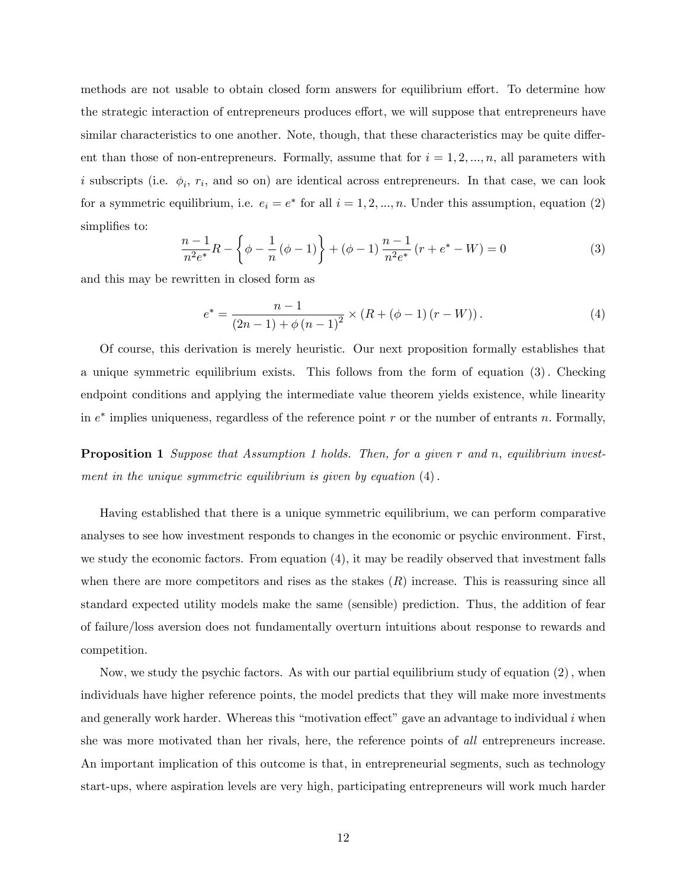methods are not usable to obtain closed form answers for equilibrium effort. To determine how the strategic interaction of entrepreneurs produces effort, we will suppose that entrepreneurs have similar characteristics to one another. Note, though, that these characteristics may be quite different than those of non-entrepreneurs. Formally, assume that for  $i = 1, 2, ..., n$ , all parameters with i subscripts (i.e.  $\phi_i$ ,  $r_i$ , and so on) are identical across entrepreneurs. In that case, we can look for a symmetric equilibrium, i.e.  $e_i = e^*$  for all  $i = 1, 2, ..., n$ . Under this assumption, equation (2) simplifies to:

$$
\frac{n-1}{n^2 e^*} R - \left\{ \phi - \frac{1}{n} \left( \phi - 1 \right) \right\} + \left( \phi - 1 \right) \frac{n-1}{n^2 e^*} \left( r + e^* - W \right) = 0 \tag{3}
$$

and this may be rewritten in closed form as

$$
e^* = \frac{n-1}{(2n-1) + \phi (n-1)^2} \times (R + (\phi - 1) (r - W)).
$$
\n(4)

Of course, this derivation is merely heuristic. Our next proposition formally establishes that a unique symmetric equilibrium exists. This follows from the form of equation (3): Checking endpoint conditions and applying the intermediate value theorem yields existence, while linearity in  $e^*$  implies uniqueness, regardless of the reference point r or the number of entrants n. Formally,

**Proposition 1** Suppose that Assumption 1 holds. Then, for a given r and n, equilibrium investment in the unique symmetric equilibrium is given by equation  $(4)$ .

Having established that there is a unique symmetric equilibrium, we can perform comparative analyses to see how investment responds to changes in the economic or psychic environment. First, we study the economic factors. From equation (4), it may be readily observed that investment falls when there are more competitors and rises as the stakes  $(R)$  increase. This is reassuring since all standard expected utility models make the same (sensible) prediction. Thus, the addition of fear of failure/loss aversion does not fundamentally overturn intuitions about response to rewards and competition.

Now, we study the psychic factors. As with our partial equilibrium study of equation  $(2)$ , when individuals have higher reference points, the model predicts that they will make more investments and generally work harder. Whereas this "motivation effect" gave an advantage to individual  $i$  when she was more motivated than her rivals, here, the reference points of all entrepreneurs increase. An important implication of this outcome is that, in entrepreneurial segments, such as technology start-ups, where aspiration levels are very high, participating entrepreneurs will work much harder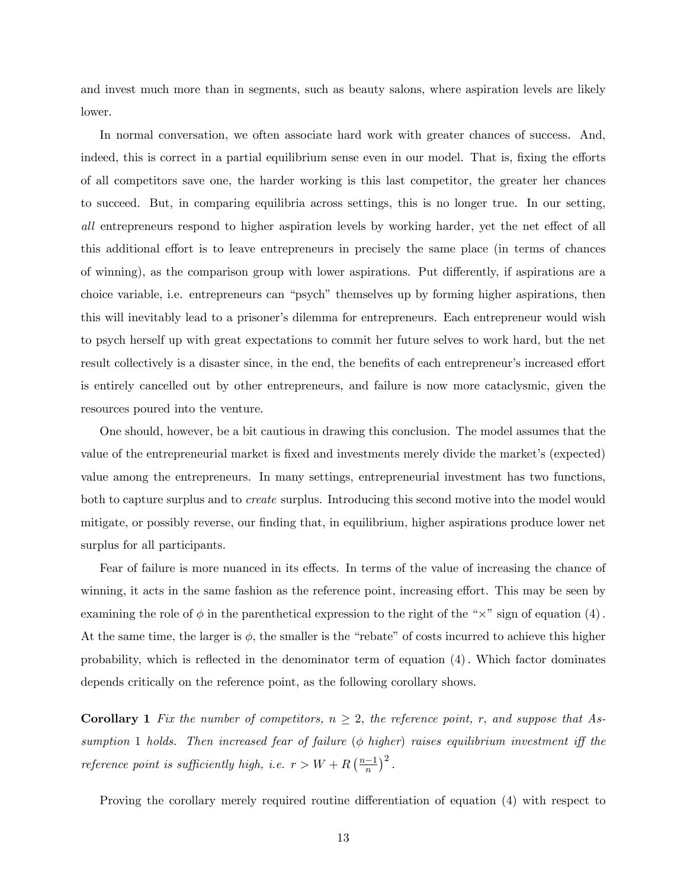and invest much more than in segments, such as beauty salons, where aspiration levels are likely lower.

In normal conversation, we often associate hard work with greater chances of success. And, indeed, this is correct in a partial equilibrium sense even in our model. That is, fixing the efforts of all competitors save one, the harder working is this last competitor, the greater her chances to succeed. But, in comparing equilibria across settings, this is no longer true. In our setting, all entrepreneurs respond to higher aspiration levels by working harder, yet the net effect of all this additional effort is to leave entrepreneurs in precisely the same place (in terms of chances of winning), as the comparison group with lower aspirations. Put differently, if aspirations are a choice variable, i.e. entrepreneurs can "psych" themselves up by forming higher aspirations, then this will inevitably lead to a prisoner's dilemma for entrepreneurs. Each entrepreneur would wish to psych herself up with great expectations to commit her future selves to work hard, but the net result collectively is a disaster since, in the end, the benefits of each entrepreneur's increased effort is entirely cancelled out by other entrepreneurs, and failure is now more cataclysmic, given the resources poured into the venture.

One should, however, be a bit cautious in drawing this conclusion. The model assumes that the value of the entrepreneurial market is fixed and investments merely divide the market's (expected) value among the entrepreneurs. In many settings, entrepreneurial investment has two functions, both to capture surplus and to *create* surplus. Introducing this second motive into the model would mitigate, or possibly reverse, our finding that, in equilibrium, higher aspirations produce lower net surplus for all participants.

Fear of failure is more nuanced in its effects. In terms of the value of increasing the chance of winning, it acts in the same fashion as the reference point, increasing effort. This may be seen by examining the role of  $\phi$  in the parenthetical expression to the right of the " $\times$ " sign of equation (4). At the same time, the larger is  $\phi$ , the smaller is the "rebate" of costs incurred to achieve this higher probability, which is reflected in the denominator term of equation  $(4)$ . Which factor dominates depends critically on the reference point, as the following corollary shows.

**Corollary 1** Fix the number of competitors,  $n \geq 2$ , the reference point, r, and suppose that Assumption 1 holds. Then increased fear of failure ( $\phi$  higher) raises equilibrium investment iff the reference point is sufficiently high, i.e.  $r > W + R\left(\frac{n-1}{n}\right)^2$ .

Proving the corollary merely required routine differentiation of equation (4) with respect to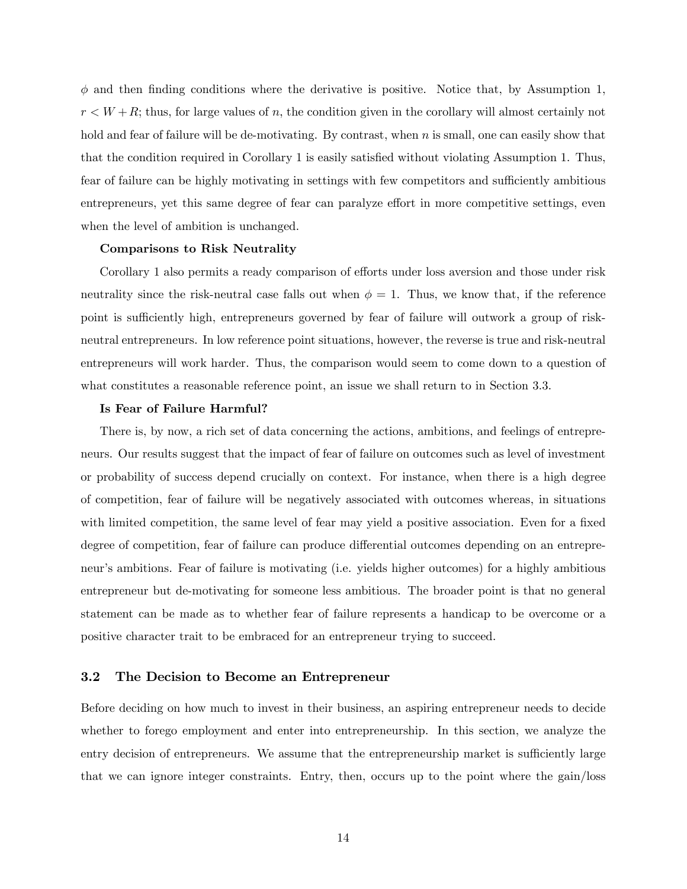$\phi$  and then finding conditions where the derivative is positive. Notice that, by Assumption 1,  $r < W + R$ ; thus, for large values of n, the condition given in the corollary will almost certainly not hold and fear of failure will be de-motivating. By contrast, when  $n$  is small, one can easily show that that the condition required in Corollary 1 is easily satisfied without violating Assumption 1. Thus, fear of failure can be highly motivating in settings with few competitors and sufficiently ambitious entrepreneurs, yet this same degree of fear can paralyze effort in more competitive settings, even when the level of ambition is unchanged.

#### Comparisons to Risk Neutrality

Corollary 1 also permits a ready comparison of efforts under loss aversion and those under risk neutrality since the risk-neutral case falls out when  $\phi = 1$ . Thus, we know that, if the reference point is sufficiently high, entrepreneurs governed by fear of failure will outwork a group of riskneutral entrepreneurs. In low reference point situations, however, the reverse is true and risk-neutral entrepreneurs will work harder. Thus, the comparison would seem to come down to a question of what constitutes a reasonable reference point, an issue we shall return to in Section 3.3.

#### Is Fear of Failure Harmful?

There is, by now, a rich set of data concerning the actions, ambitions, and feelings of entrepreneurs. Our results suggest that the impact of fear of failure on outcomes such as level of investment or probability of success depend crucially on context. For instance, when there is a high degree of competition, fear of failure will be negatively associated with outcomes whereas, in situations with limited competition, the same level of fear may yield a positive association. Even for a fixed degree of competition, fear of failure can produce differential outcomes depending on an entrepreneurís ambitions. Fear of failure is motivating (i.e. yields higher outcomes) for a highly ambitious entrepreneur but de-motivating for someone less ambitious. The broader point is that no general statement can be made as to whether fear of failure represents a handicap to be overcome or a positive character trait to be embraced for an entrepreneur trying to succeed.

## 3.2 The Decision to Become an Entrepreneur

Before deciding on how much to invest in their business, an aspiring entrepreneur needs to decide whether to forego employment and enter into entrepreneurship. In this section, we analyze the entry decision of entrepreneurs. We assume that the entrepreneurship market is sufficiently large that we can ignore integer constraints. Entry, then, occurs up to the point where the gain/loss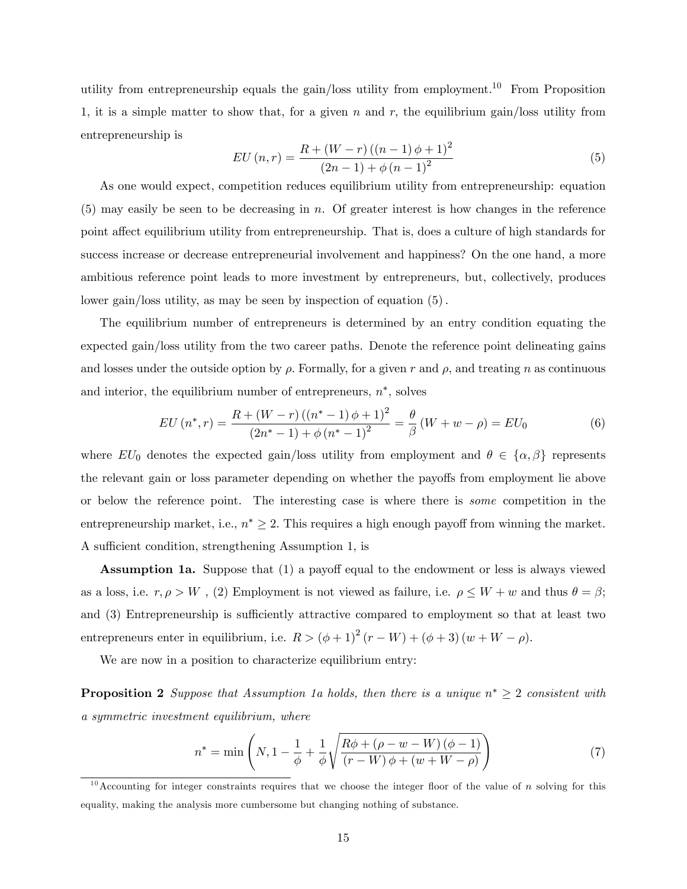utility from entrepreneurship equals the gain/loss utility from employment.<sup>10</sup> From Proposition 1, it is a simple matter to show that, for a given n and r, the equilibrium gain/loss utility from entrepreneurship is

$$
EU(n,r) = \frac{R + (W - r) ((n - 1) \phi + 1)^2}{(2n - 1) + \phi (n - 1)^2}
$$
\n(5)

As one would expect, competition reduces equilibrium utility from entrepreneurship: equation  $(5)$  may easily be seen to be decreasing in n. Of greater interest is how changes in the reference point affect equilibrium utility from entrepreneurship. That is, does a culture of high standards for success increase or decrease entrepreneurial involvement and happiness? On the one hand, a more ambitious reference point leads to more investment by entrepreneurs, but, collectively, produces lower gain/loss utility, as may be seen by inspection of equation  $(5)$ .

The equilibrium number of entrepreneurs is determined by an entry condition equating the expected gain/loss utility from the two career paths. Denote the reference point delineating gains and losses under the outside option by  $\rho$ . Formally, for a given r and  $\rho$ , and treating n as continuous and interior, the equilibrium number of entrepreneurs,  $n^*$ , solves

$$
EU\left(n^*,r\right) = \frac{R + (W - r)\left(\left(n^* - 1\right)\phi + 1\right)^2}{\left(2n^* - 1\right) + \phi\left(n^* - 1\right)^2} = \frac{\theta}{\beta}\left(W + w - \rho\right) = EU_0\tag{6}
$$

where  $EU_0$  denotes the expected gain/loss utility from employment and  $\theta \in {\alpha, \beta}$  represents the relevant gain or loss parameter depending on whether the payoffs from employment lie above or below the reference point. The interesting case is where there is some competition in the entrepreneurship market, i.e.,  $n^* \geq 2$ . This requires a high enough payoff from winning the market. A sufficient condition, strengthening Assumption 1, is

**Assumption 1a.** Suppose that  $(1)$  a payoff equal to the endowment or less is always viewed as a loss, i.e.  $r, \rho > W$ , (2) Employment is not viewed as failure, i.e.  $\rho \le W + w$  and thus  $\theta = \beta$ ; and (3) Entrepreneurship is sufficiently attractive compared to employment so that at least two entrepreneurs enter in equilibrium, i.e.  $R > (\phi + 1)^2 (r - W) + (\phi + 3) (w + W - \rho)$ .

We are now in a position to characterize equilibrium entry:

**Proposition 2** Suppose that Assumption 1a holds, then there is a unique  $n^* \geq 2$  consistent with a symmetric investment equilibrium, where

$$
n^* = \min\left(N, 1 - \frac{1}{\phi} + \frac{1}{\phi} \sqrt{\frac{R\phi + (\rho - w - W)(\phi - 1)}{(r - W)\phi + (w + W - \rho)}}\right)
$$
(7)

<sup>&</sup>lt;sup>10</sup>Accounting for integer constraints requires that we choose the integer floor of the value of n solving for this equality, making the analysis more cumbersome but changing nothing of substance.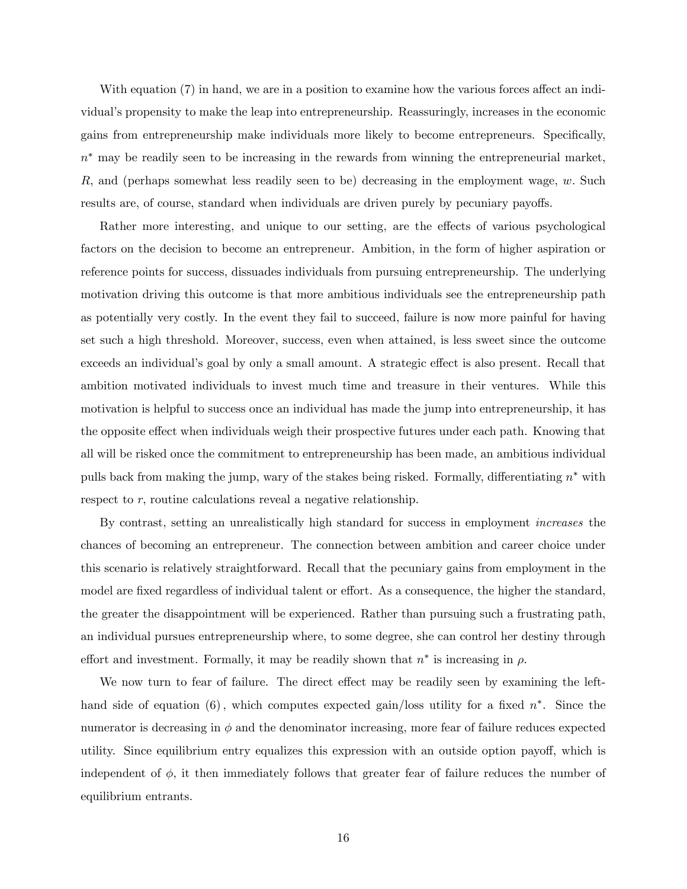With equation  $(7)$  in hand, we are in a position to examine how the various forces affect an individual's propensity to make the leap into entrepreneurship. Reassuringly, increases in the economic gains from entrepreneurship make individuals more likely to become entrepreneurs. Specifically,  $n^*$  may be readily seen to be increasing in the rewards from winning the entrepreneurial market, R; and (perhaps somewhat less readily seen to be) decreasing in the employment wage, w: Such results are, of course, standard when individuals are driven purely by pecuniary payoffs.

Rather more interesting, and unique to our setting, are the effects of various psychological factors on the decision to become an entrepreneur. Ambition, in the form of higher aspiration or reference points for success, dissuades individuals from pursuing entrepreneurship. The underlying motivation driving this outcome is that more ambitious individuals see the entrepreneurship path as potentially very costly. In the event they fail to succeed, failure is now more painful for having set such a high threshold. Moreover, success, even when attained, is less sweet since the outcome exceeds an individual's goal by only a small amount. A strategic effect is also present. Recall that ambition motivated individuals to invest much time and treasure in their ventures. While this motivation is helpful to success once an individual has made the jump into entrepreneurship, it has the opposite effect when individuals weigh their prospective futures under each path. Knowing that all will be risked once the commitment to entrepreneurship has been made, an ambitious individual pulls back from making the jump, wary of the stakes being risked. Formally, differentiating  $n^*$  with respect to r, routine calculations reveal a negative relationship.

By contrast, setting an unrealistically high standard for success in employment increases the chances of becoming an entrepreneur. The connection between ambition and career choice under this scenario is relatively straightforward. Recall that the pecuniary gains from employment in the model are fixed regardless of individual talent or effort. As a consequence, the higher the standard, the greater the disappointment will be experienced. Rather than pursuing such a frustrating path, an individual pursues entrepreneurship where, to some degree, she can control her destiny through effort and investment. Formally, it may be readily shown that  $n^*$  is increasing in  $\rho$ .

We now turn to fear of failure. The direct effect may be readily seen by examining the lefthand side of equation  $(6)$ , which computes expected gain/loss utility for a fixed  $n^*$ . Since the numerator is decreasing in  $\phi$  and the denominator increasing, more fear of failure reduces expected utility. Since equilibrium entry equalizes this expression with an outside option payoff, which is independent of  $\phi$ , it then immediately follows that greater fear of failure reduces the number of equilibrium entrants.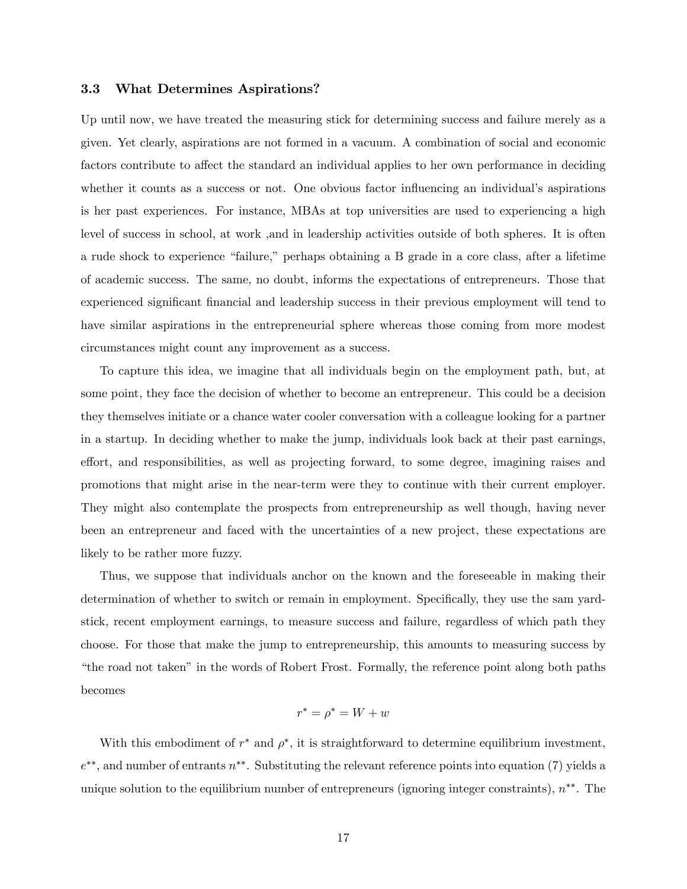## 3.3 What Determines Aspirations?

Up until now, we have treated the measuring stick for determining success and failure merely as a given. Yet clearly, aspirations are not formed in a vacuum. A combination of social and economic factors contribute to affect the standard an individual applies to her own performance in deciding whether it counts as a success or not. One obvious factor influencing an individual's aspirations is her past experiences. For instance, MBAs at top universities are used to experiencing a high level of success in school, at work ,and in leadership activities outside of both spheres. It is often a rude shock to experience "failure," perhaps obtaining a B grade in a core class, after a lifetime of academic success. The same, no doubt, informs the expectations of entrepreneurs. Those that experienced significant financial and leadership success in their previous employment will tend to have similar aspirations in the entrepreneurial sphere whereas those coming from more modest circumstances might count any improvement as a success.

To capture this idea, we imagine that all individuals begin on the employment path, but, at some point, they face the decision of whether to become an entrepreneur. This could be a decision they themselves initiate or a chance water cooler conversation with a colleague looking for a partner in a startup. In deciding whether to make the jump, individuals look back at their past earnings, effort, and responsibilities, as well as projecting forward, to some degree, imagining raises and promotions that might arise in the near-term were they to continue with their current employer. They might also contemplate the prospects from entrepreneurship as well though, having never been an entrepreneur and faced with the uncertainties of a new project, these expectations are likely to be rather more fuzzy.

Thus, we suppose that individuals anchor on the known and the foreseeable in making their determination of whether to switch or remain in employment. Specifically, they use the sam yardstick, recent employment earnings, to measure success and failure, regardless of which path they choose. For those that make the jump to entrepreneurship, this amounts to measuring success by ìthe road not takenîin the words of Robert Frost. Formally, the reference point along both paths becomes

$$
r^* = \rho^* = W + w
$$

With this embodiment of  $r^*$  and  $\rho^*$ , it is straightforward to determine equilibrium investment,  $e^{**}$ , and number of entrants  $n^{**}$ . Substituting the relevant reference points into equation (7) yields a unique solution to the equilibrium number of entrepreneurs (ignoring integer constraints),  $n^{**}$ . The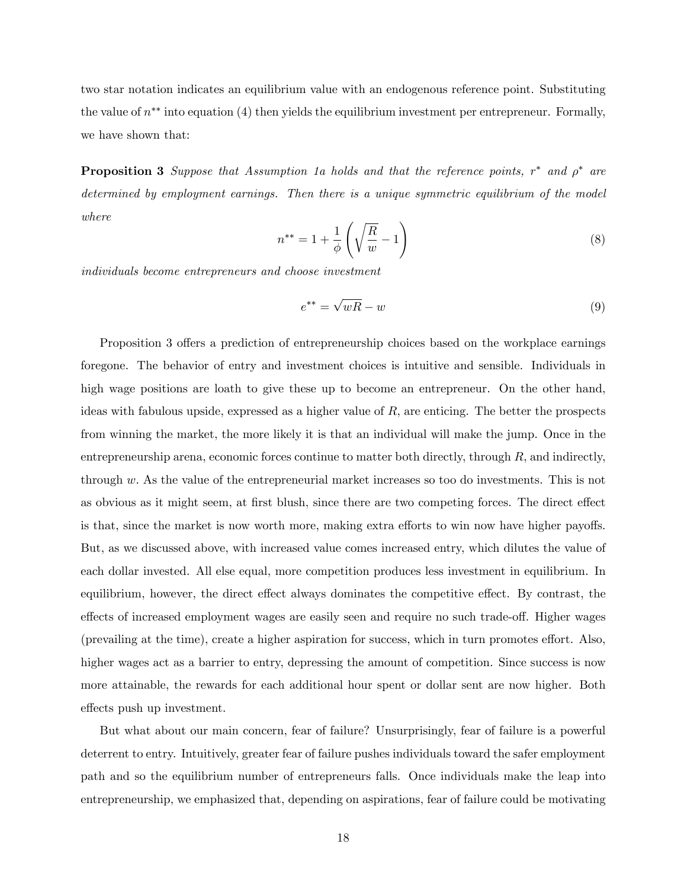two star notation indicates an equilibrium value with an endogenous reference point. Substituting the value of  $n^{**}$  into equation (4) then yields the equilibrium investment per entrepreneur. Formally, we have shown that:

**Proposition 3** Suppose that Assumption 1a holds and that the reference points,  $r^*$  and  $\rho^*$  are determined by employment earnings. Then there is a unique symmetric equilibrium of the model where

$$
n^{**} = 1 + \frac{1}{\phi} \left( \sqrt{\frac{R}{w}} - 1 \right) \tag{8}
$$

individuals become entrepreneurs and choose investment

$$
e^{**} = \sqrt{wR} - w \tag{9}
$$

Proposition 3 offers a prediction of entrepreneurship choices based on the workplace earnings foregone. The behavior of entry and investment choices is intuitive and sensible. Individuals in high wage positions are loath to give these up to become an entrepreneur. On the other hand, ideas with fabulous upside, expressed as a higher value of  $R$ , are enticing. The better the prospects from winning the market, the more likely it is that an individual will make the jump. Once in the entrepreneurship arena, economic forces continue to matter both directly, through  $R$ , and indirectly, through w: As the value of the entrepreneurial market increases so too do investments. This is not as obvious as it might seem, at first blush, since there are two competing forces. The direct effect is that, since the market is now worth more, making extra efforts to win now have higher payoffs. But, as we discussed above, with increased value comes increased entry, which dilutes the value of each dollar invested. All else equal, more competition produces less investment in equilibrium. In equilibrium, however, the direct effect always dominates the competitive effect. By contrast, the effects of increased employment wages are easily seen and require no such trade-off. Higher wages (prevailing at the time), create a higher aspiration for success, which in turn promotes effort. Also, higher wages act as a barrier to entry, depressing the amount of competition. Since success is now more attainable, the rewards for each additional hour spent or dollar sent are now higher. Both effects push up investment.

But what about our main concern, fear of failure? Unsurprisingly, fear of failure is a powerful deterrent to entry. Intuitively, greater fear of failure pushes individuals toward the safer employment path and so the equilibrium number of entrepreneurs falls. Once individuals make the leap into entrepreneurship, we emphasized that, depending on aspirations, fear of failure could be motivating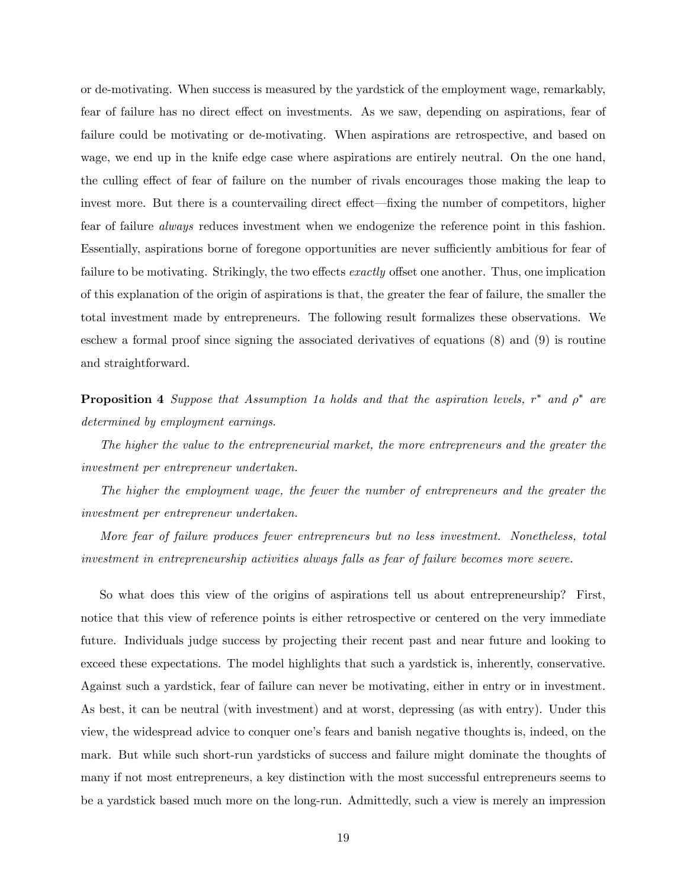or de-motivating. When success is measured by the yardstick of the employment wage, remarkably, fear of failure has no direct effect on investments. As we saw, depending on aspirations, fear of failure could be motivating or de-motivating. When aspirations are retrospective, and based on wage, we end up in the knife edge case where aspirations are entirely neutral. On the one hand, the culling effect of fear of failure on the number of rivals encourages those making the leap to invest more. But there is a countervailing direct effect—fixing the number of competitors, higher fear of failure always reduces investment when we endogenize the reference point in this fashion. Essentially, aspirations borne of foregone opportunities are never sufficiently ambitious for fear of failure to be motivating. Strikingly, the two effects exactly offset one another. Thus, one implication of this explanation of the origin of aspirations is that, the greater the fear of failure, the smaller the total investment made by entrepreneurs. The following result formalizes these observations. We eschew a formal proof since signing the associated derivatives of equations (8) and (9) is routine and straightforward.

**Proposition 4** Suppose that Assumption 1a holds and that the aspiration levels,  $r^*$  and  $\rho^*$  are determined by employment earnings.

The higher the value to the entrepreneurial market, the more entrepreneurs and the greater the investment per entrepreneur undertaken.

The higher the employment wage, the fewer the number of entrepreneurs and the greater the investment per entrepreneur undertaken.

More fear of failure produces fewer entrepreneurs but no less investment. Nonetheless, total investment in entrepreneurship activities always falls as fear of failure becomes more severe.

So what does this view of the origins of aspirations tell us about entrepreneurship? First, notice that this view of reference points is either retrospective or centered on the very immediate future. Individuals judge success by projecting their recent past and near future and looking to exceed these expectations. The model highlights that such a yardstick is, inherently, conservative. Against such a yardstick, fear of failure can never be motivating, either in entry or in investment. As best, it can be neutral (with investment) and at worst, depressing (as with entry). Under this view, the widespread advice to conquer one's fears and banish negative thoughts is, indeed, on the mark. But while such short-run yardsticks of success and failure might dominate the thoughts of many if not most entrepreneurs, a key distinction with the most successful entrepreneurs seems to be a yardstick based much more on the long-run. Admittedly, such a view is merely an impression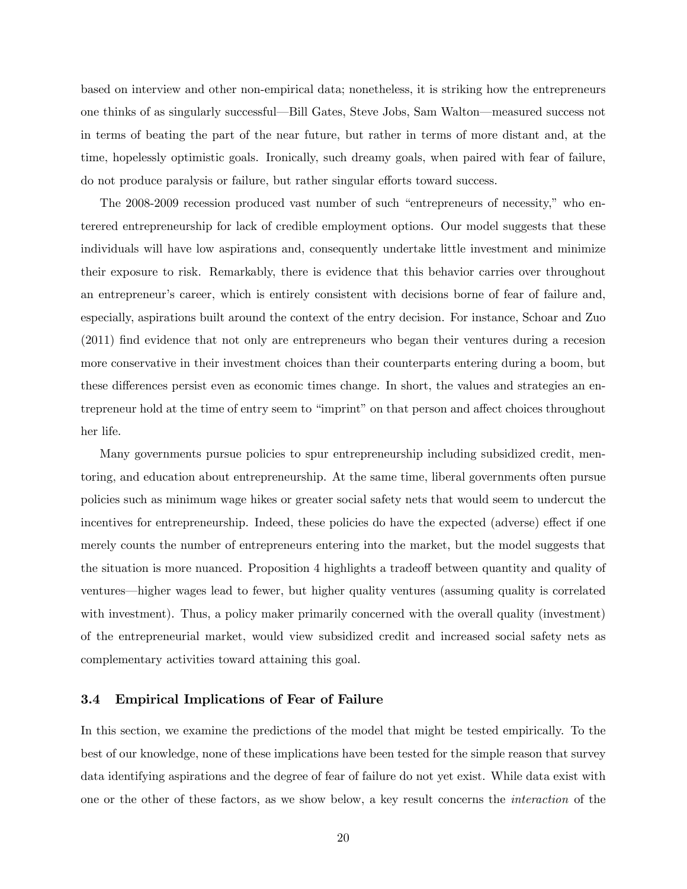based on interview and other non-empirical data; nonetheless, it is striking how the entrepreneurs one thinks of as singularly successful—Bill Gates, Steve Jobs, Sam Walton—measured success not in terms of beating the part of the near future, but rather in terms of more distant and, at the time, hopelessly optimistic goals. Ironically, such dreamy goals, when paired with fear of failure, do not produce paralysis or failure, but rather singular efforts toward success.

The 2008-2009 recession produced vast number of such "entrepreneurs of necessity," who enterered entrepreneurship for lack of credible employment options. Our model suggests that these individuals will have low aspirations and, consequently undertake little investment and minimize their exposure to risk. Remarkably, there is evidence that this behavior carries over throughout an entrepreneur's career, which is entirely consistent with decisions borne of fear of failure and, especially, aspirations built around the context of the entry decision. For instance, Schoar and Zuo (2011) Önd evidence that not only are entrepreneurs who began their ventures during a recesion more conservative in their investment choices than their counterparts entering during a boom, but these differences persist even as economic times change. In short, the values and strategies an entrepreneur hold at the time of entry seem to "imprint" on that person and affect choices throughout her life.

Many governments pursue policies to spur entrepreneurship including subsidized credit, mentoring, and education about entrepreneurship. At the same time, liberal governments often pursue policies such as minimum wage hikes or greater social safety nets that would seem to undercut the incentives for entrepreneurship. Indeed, these policies do have the expected (adverse) effect if one merely counts the number of entrepreneurs entering into the market, but the model suggests that the situation is more nuanced. Proposition 4 highlights a tradeoff between quantity and quality of ventures—higher wages lead to fewer, but higher quality ventures (assuming quality is correlated with investment). Thus, a policy maker primarily concerned with the overall quality (investment) of the entrepreneurial market, would view subsidized credit and increased social safety nets as complementary activities toward attaining this goal.

## 3.4 Empirical Implications of Fear of Failure

In this section, we examine the predictions of the model that might be tested empirically. To the best of our knowledge, none of these implications have been tested for the simple reason that survey data identifying aspirations and the degree of fear of failure do not yet exist. While data exist with one or the other of these factors, as we show below, a key result concerns the interaction of the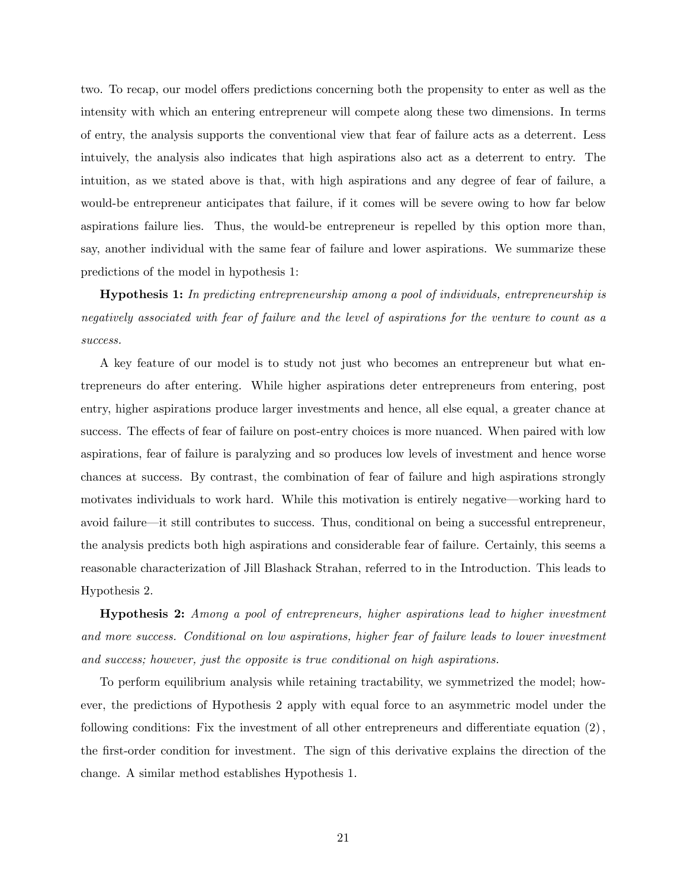two. To recap, our model offers predictions concerning both the propensity to enter as well as the intensity with which an entering entrepreneur will compete along these two dimensions. In terms of entry, the analysis supports the conventional view that fear of failure acts as a deterrent. Less intuively, the analysis also indicates that high aspirations also act as a deterrent to entry. The intuition, as we stated above is that, with high aspirations and any degree of fear of failure, a would-be entrepreneur anticipates that failure, if it comes will be severe owing to how far below aspirations failure lies. Thus, the would-be entrepreneur is repelled by this option more than, say, another individual with the same fear of failure and lower aspirations. We summarize these predictions of the model in hypothesis 1:

Hypothesis 1: In predicting entrepreneurship among a pool of individuals, entrepreneurship is negatively associated with fear of failure and the level of aspirations for the venture to count as a success.

A key feature of our model is to study not just who becomes an entrepreneur but what entrepreneurs do after entering. While higher aspirations deter entrepreneurs from entering, post entry, higher aspirations produce larger investments and hence, all else equal, a greater chance at success. The effects of fear of failure on post-entry choices is more nuanced. When paired with low aspirations, fear of failure is paralyzing and so produces low levels of investment and hence worse chances at success. By contrast, the combination of fear of failure and high aspirations strongly motivates individuals to work hard. While this motivation is entirely negative—working hard to avoid failure—it still contributes to success. Thus, conditional on being a successful entrepreneur, the analysis predicts both high aspirations and considerable fear of failure. Certainly, this seems a reasonable characterization of Jill Blashack Strahan, referred to in the Introduction. This leads to Hypothesis 2.

Hypothesis 2: Among a pool of entrepreneurs, higher aspirations lead to higher investment and more success. Conditional on low aspirations, higher fear of failure leads to lower investment and success; however, just the opposite is true conditional on high aspirations.

To perform equilibrium analysis while retaining tractability, we symmetrized the model; however, the predictions of Hypothesis 2 apply with equal force to an asymmetric model under the following conditions: Fix the investment of all other entrepreneurs and differentiate equation  $(2)$ , the Örst-order condition for investment. The sign of this derivative explains the direction of the change. A similar method establishes Hypothesis 1.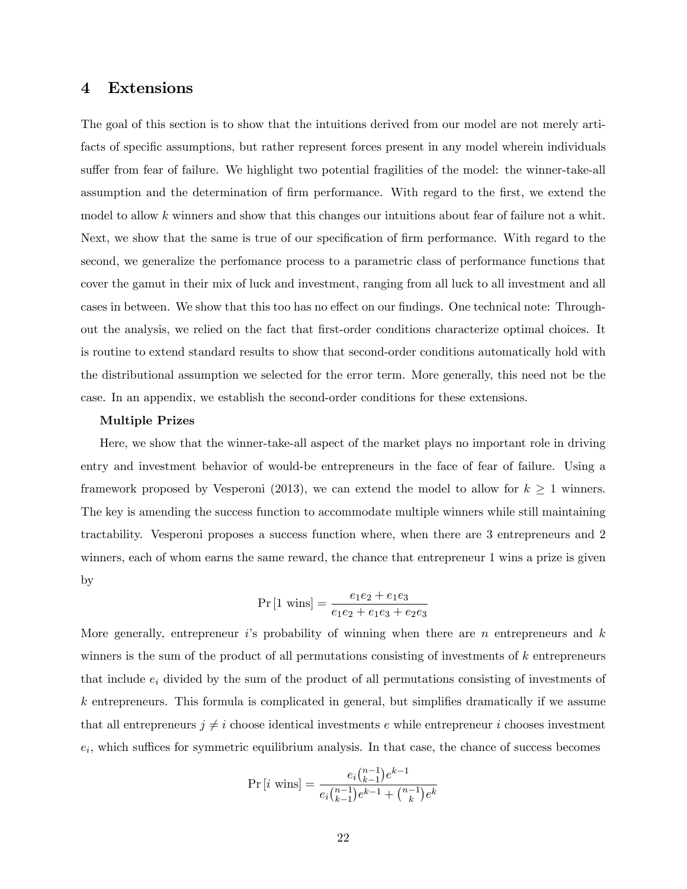# 4 Extensions

The goal of this section is to show that the intuitions derived from our model are not merely artifacts of specific assumptions, but rather represent forces present in any model wherein individuals suffer from fear of failure. We highlight two potential fragilities of the model: the winner-take-all assumption and the determination of firm performance. With regard to the first, we extend the model to allow k winners and show that this changes our intuitions about fear of failure not a whit. Next, we show that the same is true of our specification of firm performance. With regard to the second, we generalize the perfomance process to a parametric class of performance functions that cover the gamut in their mix of luck and investment, ranging from all luck to all investment and all cases in between. We show that this too has no effect on our findings. One technical note: Throughout the analysis, we relied on the fact that first-order conditions characterize optimal choices. It is routine to extend standard results to show that second-order conditions automatically hold with the distributional assumption we selected for the error term. More generally, this need not be the case. In an appendix, we establish the second-order conditions for these extensions.

#### Multiple Prizes

Here, we show that the winner-take-all aspect of the market plays no important role in driving entry and investment behavior of would-be entrepreneurs in the face of fear of failure. Using a framework proposed by Vesperoni (2013), we can extend the model to allow for  $k \geq 1$  winners. The key is amending the success function to accommodate multiple winners while still maintaining tractability. Vesperoni proposes a success function where, when there are 3 entrepreneurs and 2 winners, each of whom earns the same reward, the chance that entrepreneur 1 wins a prize is given by

$$
Pr[1 \text{ wins}] = \frac{e_1e_2 + e_1e_3}{e_1e_2 + e_1e_3 + e_2e_3}
$$

More generally, entrepreneur is probability of winning when there are n entrepreneurs and  $k$ winners is the sum of the product of all permutations consisting of investments of k entrepreneurs that include  $e_i$  divided by the sum of the product of all permutations consisting of investments of  $k$  entrepreneurs. This formula is complicated in general, but simplifies dramatically if we assume that all entrepreneurs  $j \neq i$  choose identical investments e while entrepreneur i chooses investment  $e_i$ , which suffices for symmetric equilibrium analysis. In that case, the chance of success becomes

$$
\Pr[i \text{ wins}] = \frac{e_i {n-1 \choose k-1} e^{k-1}}{e_i {n-1 \choose k-1} e^{k-1} + {n-1 \choose k} e^k}
$$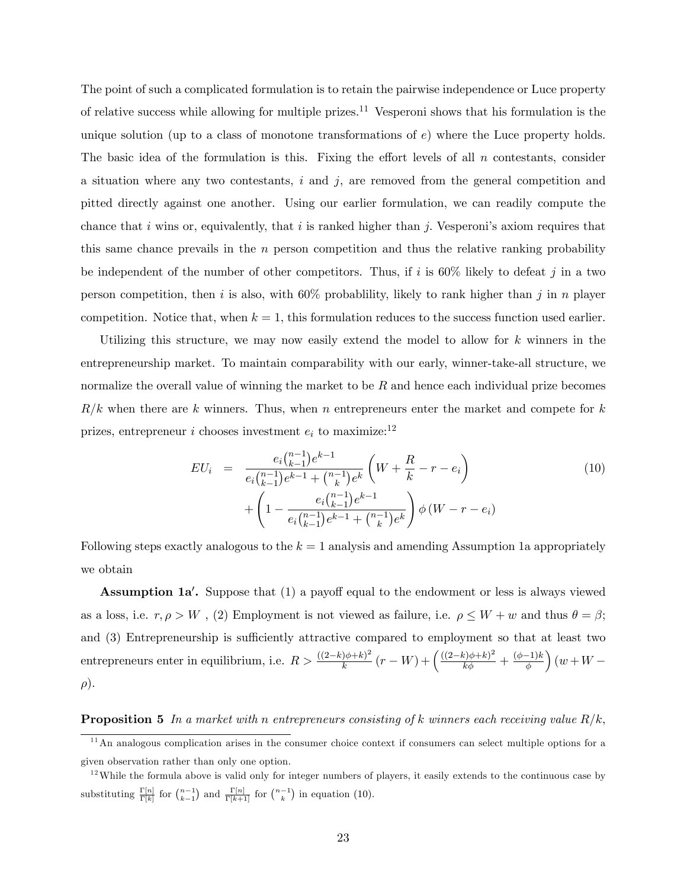The point of such a complicated formulation is to retain the pairwise independence or Luce property of relative success while allowing for multiple prizes.<sup>11</sup> Vesperoni shows that his formulation is the unique solution (up to a class of monotone transformations of  $e$ ) where the Luce property holds. The basic idea of the formulation is this. Fixing the effort levels of all  $n$  contestants, consider a situation where any two contestants,  $i$  and  $j$ , are removed from the general competition and pitted directly against one another. Using our earlier formulation, we can readily compute the chance that i wins or, equivalently, that i is ranked higher than j. Vesperoni's axiom requires that this same chance prevails in the  $n$  person competition and thus the relative ranking probability be independent of the number of other competitors. Thus, if  $i$  is 60% likely to defeat  $j$  in a two person competition, then i is also, with  $60\%$  probability, likely to rank higher than j in n player competition. Notice that, when  $k = 1$ , this formulation reduces to the success function used earlier.

Utilizing this structure, we may now easily extend the model to allow for  $k$  winners in the entrepreneurship market. To maintain comparability with our early, winner-take-all structure, we normalize the overall value of winning the market to be  $R$  and hence each individual prize becomes  $R/k$  when there are k winners. Thus, when n entrepreneurs enter the market and compete for k prizes, entrepreneur *i* chooses investment  $e_i$  to maximize:<sup>12</sup>

$$
EU_i = \frac{e_i {n-1 \choose k-1} e^{k-1}}{e_i {n-1 \choose k-1} e^{k-1} + {n-1 \choose k} e^k} \left(W + \frac{R}{k} - r - e_i\right) + \left(1 - \frac{e_i {n-1 \choose k-1} e^{k-1}}{e_i {n-1 \choose k-1} e^{k-1} + {n-1 \choose k} e^k}\right) \phi\left(W - r - e_i\right)
$$
\n(10)

Following steps exactly analogous to the  $k = 1$  analysis and amending Assumption 1a appropriately we obtain

**Assumption 1a'.** Suppose that  $(1)$  a payoff equal to the endowment or less is always viewed as a loss, i.e.  $r, \rho > W$ , (2) Employment is not viewed as failure, i.e.  $\rho \leq W + w$  and thus  $\theta = \beta$ ; and (3) Entrepreneurship is sufficiently attractive compared to employment so that at least two entrepreneurs enter in equilibrium, i.e.  $R > \frac{((2-k)\phi + k)^2}{k}$  $\frac{(k)^{\phi+k})^2}{k}(r-W)+\left(\frac{((2-k)\phi+k)^2}{k\phi}+\frac{(\phi-1)k}{\phi}\right)$  $\Big)$   $(w + W \rho$ ).

**Proposition 5** In a market with n entrepreneurs consisting of k winners each receiving value  $R/k$ ;

 $11$ An analogous complication arises in the consumer choice context if consumers can select multiple options for a given observation rather than only one option.

 $12$  While the formula above is valid only for integer numbers of players, it easily extends to the continuous case by substituting  $\frac{\Gamma[n]}{\Gamma[k]}$  for  $\binom{n-1}{k-1}$  and  $\frac{\Gamma[n]}{\Gamma[k+1]}$  for  $\binom{n-1}{k}$  in equation (10).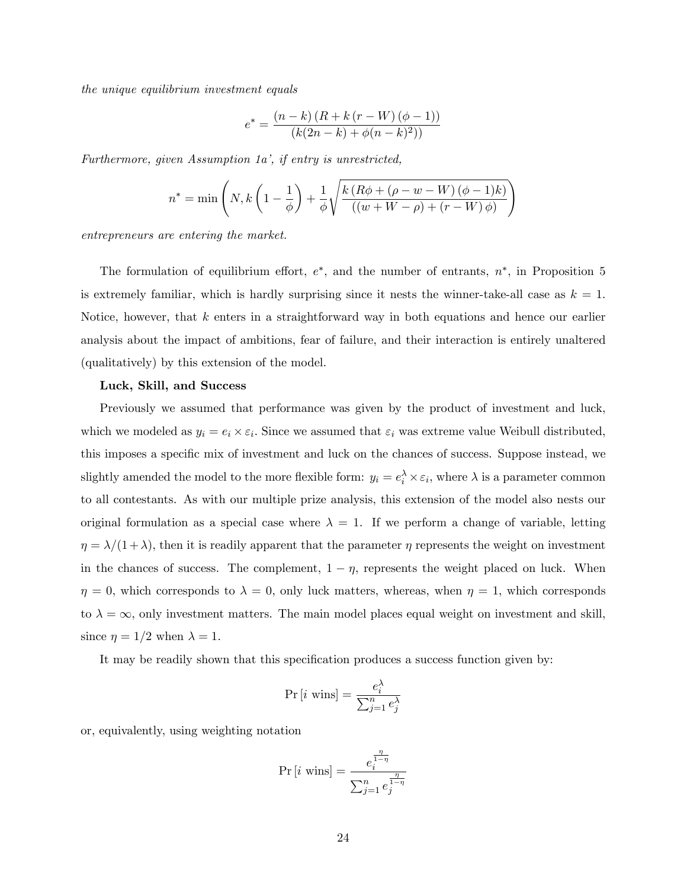the unique equilibrium investment equals

$$
e^* = \frac{(n-k)(R+k(r-W)(\phi-1))}{(k(2n-k)+\phi(n-k)^2))}
$$

Furthermore, given Assumption 1a', if entry is unrestricted,

$$
n^* = \min\left(N, k\left(1 - \frac{1}{\phi}\right) + \frac{1}{\phi}\sqrt{\frac{k\left(R\phi + (\rho - w - W)(\phi - 1)k\right)}{\left((w + W - \rho) + (r - W)\phi\right)}}\right)
$$

entrepreneurs are entering the market.

The formulation of equilibrium effort,  $e^*$ , and the number of entrants,  $n^*$ , in Proposition 5 is extremely familiar, which is hardly surprising since it nests the winner-take-all case as  $k = 1$ . Notice, however, that k enters in a straightforward way in both equations and hence our earlier analysis about the impact of ambitions, fear of failure, and their interaction is entirely unaltered (qualitatively) by this extension of the model.

## Luck, Skill, and Success

Previously we assumed that performance was given by the product of investment and luck, which we modeled as  $y_i = e_i \times \varepsilon_i$ . Since we assumed that  $\varepsilon_i$  was extreme value Weibull distributed, this imposes a specific mix of investment and luck on the chances of success. Suppose instead, we slightly amended the model to the more flexible form:  $y_i = e_i^{\lambda} \times \varepsilon_i$ , where  $\lambda$  is a parameter common to all contestants. As with our multiple prize analysis, this extension of the model also nests our original formulation as a special case where  $\lambda = 1$ . If we perform a change of variable, letting  $\eta = \lambda/(1 + \lambda)$ , then it is readily apparent that the parameter  $\eta$  represents the weight on investment in the chances of success. The complement,  $1 - \eta$ , represents the weight placed on luck. When  $\eta = 0$ , which corresponds to  $\lambda = 0$ , only luck matters, whereas, when  $\eta = 1$ , which corresponds to  $\lambda = \infty$ , only investment matters. The main model places equal weight on investment and skill, since  $\eta = 1/2$  when  $\lambda = 1$ .

It may be readily shown that this specification produces a success function given by:

$$
\Pr\left[i \text{ wins}\right] = \frac{e_i^{\lambda}}{\sum_{j=1}^n e_j^{\lambda}}
$$

or, equivalently, using weighting notation

$$
\Pr\left[i \text{ wins}\right] = \frac{e_i^{\frac{\eta}{1-\eta}}}{\sum_{j=1}^n e_j^{\frac{\eta}{1-\eta}}}
$$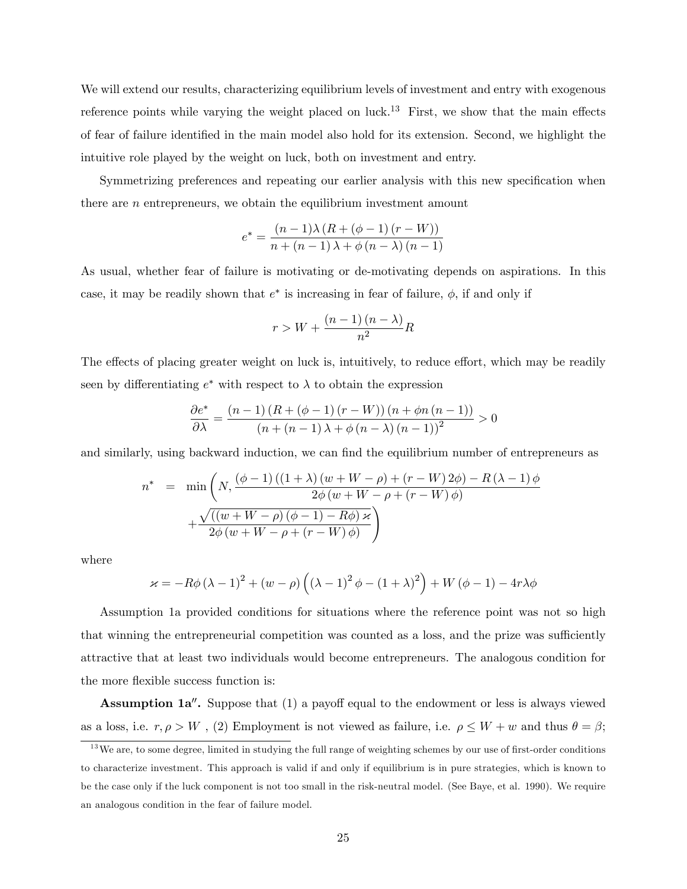We will extend our results, characterizing equilibrium levels of investment and entry with exogenous reference points while varying the weight placed on luck.<sup>13</sup> First, we show that the main effects of fear of failure identified in the main model also hold for its extension. Second, we highlight the intuitive role played by the weight on luck, both on investment and entry.

Symmetrizing preferences and repeating our earlier analysis with this new specification when there are  $n$  entrepreneurs, we obtain the equilibrium investment amount

$$
e^* = \frac{(n-1)\lambda (R + (\phi - 1) (r - W))}{n + (n-1)\lambda + \phi (n - \lambda) (n-1)}
$$

As usual, whether fear of failure is motivating or de-motivating depends on aspirations. In this case, it may be readily shown that  $e^*$  is increasing in fear of failure,  $\phi$ , if and only if

$$
r > W + \frac{(n-1)(n-\lambda)}{n^2}R
$$

The effects of placing greater weight on luck is, intuitively, to reduce effort, which may be readily seen by differentiating  $e^*$  with respect to  $\lambda$  to obtain the expression

$$
\frac{\partial e^*}{\partial \lambda} = \frac{(n-1) (R + (\phi - 1) (r - W)) (n + \phi n (n - 1))}{(n + (n - 1) \lambda + \phi (n - \lambda) (n - 1))^2} > 0
$$

and similarly, using backward induction, we can find the equilibrium number of entrepreneurs as

$$
n^* = \min\left(N, \frac{(\phi - 1)((1 + \lambda) (w + W - \rho) + (r - W) 2\phi) - R(\lambda - 1)\phi}{2\phi(w + W - \rho + (r - W)\phi)} + \frac{\sqrt{((w + W - \rho) (\phi - 1) - R\phi) \varkappa}}{2\phi(w + W - \rho + (r - W)\phi)}\right)
$$

where

$$
\varkappa = -R\phi (\lambda - 1)^{2} + (w - \rho) \left( (\lambda - 1)^{2} \phi - (1 + \lambda)^{2} \right) + W (\phi - 1) - 4r\lambda \phi
$$

Assumption 1a provided conditions for situations where the reference point was not so high that winning the entrepreneurial competition was counted as a loss, and the prize was sufficiently attractive that at least two individuals would become entrepreneurs. The analogous condition for the more flexible success function is:

**Assumption 1a''.** Suppose that  $(1)$  a payoff equal to the endowment or less is always viewed as a loss, i.e.  $r, \rho > W$ , (2) Employment is not viewed as failure, i.e.  $\rho \leq W + w$  and thus  $\theta = \beta$ ;

<sup>&</sup>lt;sup>13</sup>We are, to some degree, limited in studying the full range of weighting schemes by our use of first-order conditions to characterize investment. This approach is valid if and only if equilibrium is in pure strategies, which is known to be the case only if the luck component is not too small in the risk-neutral model. (See Baye, et al. 1990). We require an analogous condition in the fear of failure model.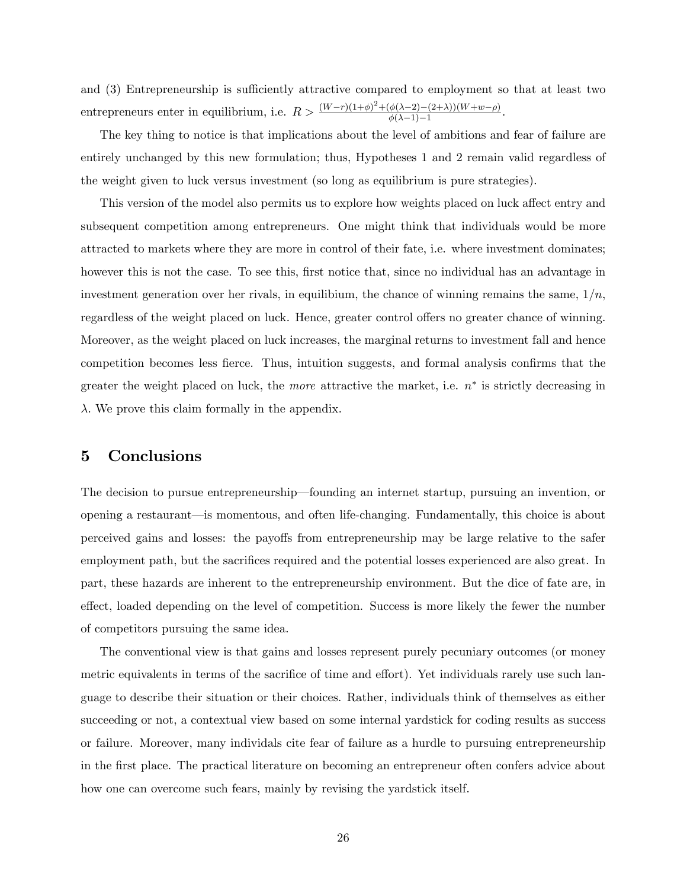and (3) Entrepreneurship is sufficiently attractive compared to employment so that at least two entrepreneurs enter in equilibrium, i.e.  $R > \frac{(W-r)(1+\phi)^2 + (\phi(\lambda-2) - (2+\lambda))(W+w-\rho)}{\phi(\lambda-1)-1}$  $\frac{\varphi(\lambda-2)-(2+\lambda)(w+w-\rho)}{\varphi(\lambda-1)-1}.$ 

The key thing to notice is that implications about the level of ambitions and fear of failure are entirely unchanged by this new formulation; thus, Hypotheses 1 and 2 remain valid regardless of the weight given to luck versus investment (so long as equilibrium is pure strategies).

This version of the model also permits us to explore how weights placed on luck affect entry and subsequent competition among entrepreneurs. One might think that individuals would be more attracted to markets where they are more in control of their fate, i.e. where investment dominates; however this is not the case. To see this, first notice that, since no individual has an advantage in investment generation over her rivals, in equilibium, the chance of winning remains the same,  $1/n$ , regardless of the weight placed on luck. Hence, greater control offers no greater chance of winning. Moreover, as the weight placed on luck increases, the marginal returns to investment fall and hence competition becomes less fierce. Thus, intuition suggests, and formal analysis confirms that the greater the weight placed on luck, the *more* attractive the market, i.e.  $n^*$  is strictly decreasing in  $\lambda$ . We prove this claim formally in the appendix.

## 5 Conclusions

The decision to pursue entrepreneurship—founding an internet startup, pursuing an invention, or opening a restaurant—is momentous, and often life-changing. Fundamentally, this choice is about perceived gains and losses: the payoffs from entrepreneurship may be large relative to the safer employment path, but the sacrifices required and the potential losses experienced are also great. In part, these hazards are inherent to the entrepreneurship environment. But the dice of fate are, in effect, loaded depending on the level of competition. Success is more likely the fewer the number of competitors pursuing the same idea.

The conventional view is that gains and losses represent purely pecuniary outcomes (or money metric equivalents in terms of the sacrifice of time and effort). Yet individuals rarely use such language to describe their situation or their choices. Rather, individuals think of themselves as either succeeding or not, a contextual view based on some internal yardstick for coding results as success or failure. Moreover, many individals cite fear of failure as a hurdle to pursuing entrepreneurship in the Örst place. The practical literature on becoming an entrepreneur often confers advice about how one can overcome such fears, mainly by revising the yardstick itself.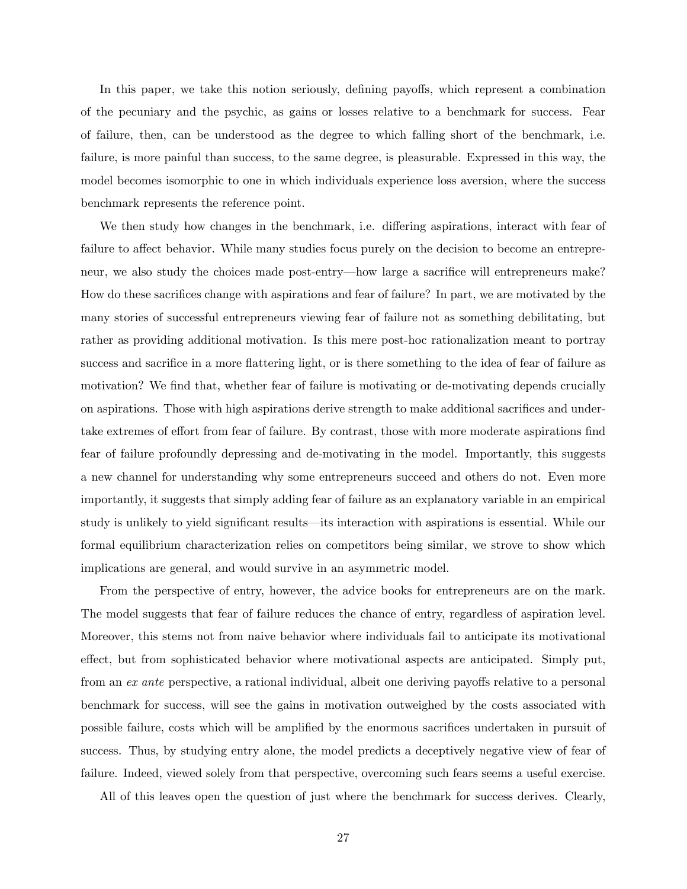In this paper, we take this notion seriously, defining payoffs, which represent a combination of the pecuniary and the psychic, as gains or losses relative to a benchmark for success. Fear of failure, then, can be understood as the degree to which falling short of the benchmark, i.e. failure, is more painful than success, to the same degree, is pleasurable. Expressed in this way, the model becomes isomorphic to one in which individuals experience loss aversion, where the success benchmark represents the reference point.

We then study how changes in the benchmark, i.e. differing aspirations, interact with fear of failure to affect behavior. While many studies focus purely on the decision to become an entrepreneur, we also study the choices made post-entry—how large a sacrifice will entrepreneurs make? How do these sacrifices change with aspirations and fear of failure? In part, we are motivated by the many stories of successful entrepreneurs viewing fear of failure not as something debilitating, but rather as providing additional motivation. Is this mere post-hoc rationalization meant to portray success and sacrifice in a more flattering light, or is there something to the idea of fear of failure as motivation? We find that, whether fear of failure is motivating or de-motivating depends crucially on aspirations. Those with high aspirations derive strength to make additional sacrifices and undertake extremes of effort from fear of failure. By contrast, those with more moderate aspirations find fear of failure profoundly depressing and de-motivating in the model. Importantly, this suggests a new channel for understanding why some entrepreneurs succeed and others do not. Even more importantly, it suggests that simply adding fear of failure as an explanatory variable in an empirical study is unlikely to yield significant results—its interaction with aspirations is essential. While our formal equilibrium characterization relies on competitors being similar, we strove to show which implications are general, and would survive in an asymmetric model.

From the perspective of entry, however, the advice books for entrepreneurs are on the mark. The model suggests that fear of failure reduces the chance of entry, regardless of aspiration level. Moreover, this stems not from naive behavior where individuals fail to anticipate its motivational effect, but from sophisticated behavior where motivational aspects are anticipated. Simply put, from an ex ante perspective, a rational individual, albeit one deriving payoffs relative to a personal benchmark for success, will see the gains in motivation outweighed by the costs associated with possible failure, costs which will be amplified by the enormous sacrifices undertaken in pursuit of success. Thus, by studying entry alone, the model predicts a deceptively negative view of fear of failure. Indeed, viewed solely from that perspective, overcoming such fears seems a useful exercise.

All of this leaves open the question of just where the benchmark for success derives. Clearly,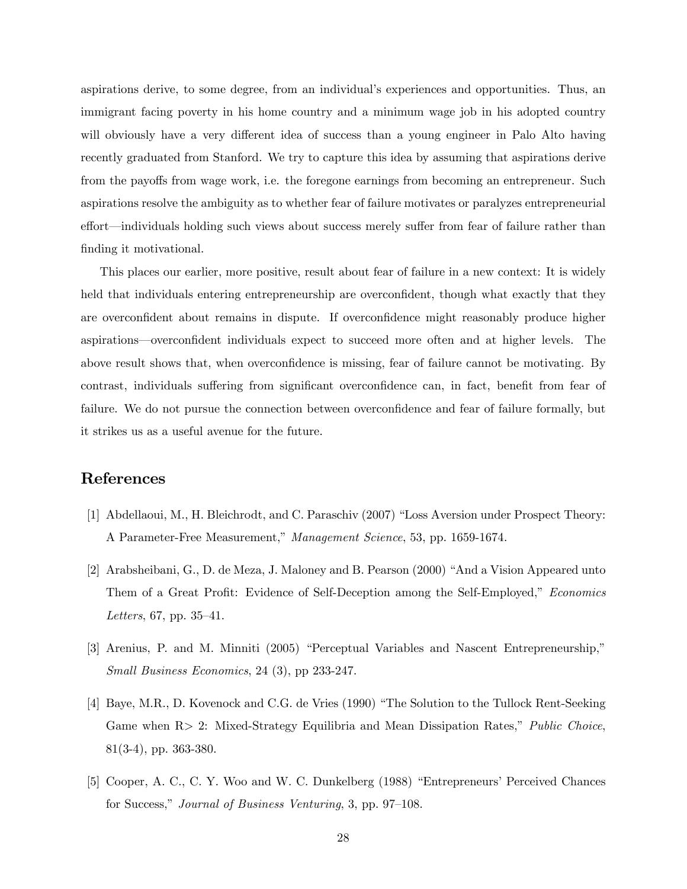aspirations derive, to some degree, from an individual's experiences and opportunities. Thus, an immigrant facing poverty in his home country and a minimum wage job in his adopted country will obviously have a very different idea of success than a young engineer in Palo Alto having recently graduated from Stanford. We try to capture this idea by assuming that aspirations derive from the payoffs from wage work, i.e. the foregone earnings from becoming an entrepreneur. Such aspirations resolve the ambiguity as to whether fear of failure motivates or paralyzes entrepreneurial effort—individuals holding such views about success merely suffer from fear of failure rather than finding it motivational.

This places our earlier, more positive, result about fear of failure in a new context: It is widely held that individuals entering entrepreneurship are overconfident, though what exactly that they are overconfident about remains in dispute. If overconfidence might reasonably produce higher aspirations—overconfident individuals expect to succeed more often and at higher levels. The above result shows that, when overconfidence is missing, fear of failure cannot be motivating. By contrast, individuals suffering from significant overconfidence can, in fact, benefit from fear of failure. We do not pursue the connection between overconfidence and fear of failure formally, but it strikes us as a useful avenue for the future.

# References

- [1] Abdellaoui, M., H. Bleichrodt, and C. Paraschiv (2007) "Loss Aversion under Prospect Theory: A Parameter-Free Measurement," Management Science, 53, pp. 1659-1674.
- [2] Arabsheibani, G., D. de Meza, J. Maloney and B. Pearson (2000) "And a Vision Appeared unto Them of a Great Profit: Evidence of Self-Deception among the Self-Employed," Economics Letters, 67, pp.  $35-41$ .
- [3] Arenius, P. and M. Minniti (2005) "Perceptual Variables and Nascent Entrepreneurship," Small Business Economics, 24 (3), pp 233-247.
- [4] Baye, M.R., D. Kovenock and C.G. de Vries (1990) "The Solution to the Tullock Rent-Seeking Game when R> 2: Mixed-Strategy Equilibria and Mean Dissipation Rates," Public Choice, 81(3-4), pp. 363-380.
- [5] Cooper, A. C., C. Y. Woo and W. C. Dunkelberg (1988) "Entrepreneurs' Perceived Chances for Success," Journal of Business Venturing, 3, pp. 97–108.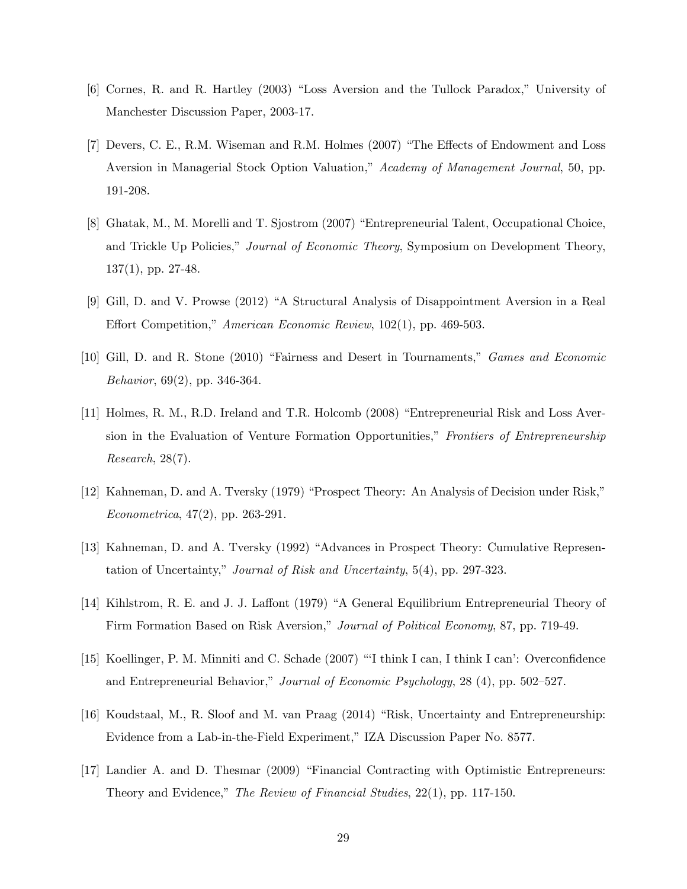- [6] Cornes, R. and R. Hartley (2003) "Loss Aversion and the Tullock Paradox," University of Manchester Discussion Paper, 2003-17.
- [7] Devers, C. E., R.M. Wiseman and R.M. Holmes (2007) "The Effects of Endowment and Loss Aversion in Managerial Stock Option Valuation," Academy of Management Journal, 50, pp. 191-208.
- [8] Ghatak, M., M. Morelli and T. Sjostrom (2007) "Entrepreneurial Talent, Occupational Choice, and Trickle Up Policies," Journal of Economic Theory, Symposium on Development Theory, 137(1), pp. 27-48.
- [9] Gill, D. and V. Prowse (2012) "A Structural Analysis of Disappointment Aversion in a Real Effort Competition," American Economic Review, 102(1), pp. 469-503.
- [10] Gill, D. and R. Stone (2010) "Fairness and Desert in Tournaments," Games and Economic Behavior, 69(2), pp. 346-364.
- [11] Holmes, R. M., R.D. Ireland and T.R. Holcomb (2008) "Entrepreneurial Risk and Loss Aversion in the Evaluation of Venture Formation Opportunities," Frontiers of Entrepreneurship Research, 28(7).
- [12] Kahneman, D. and A. Tversky (1979) "Prospect Theory: An Analysis of Decision under Risk," Econometrica, 47(2), pp. 263-291.
- [13] Kahneman, D. and A. Tversky (1992) "Advances in Prospect Theory: Cumulative Representation of Uncertainty," Journal of Risk and Uncertainty,  $5(4)$ , pp. 297-323.
- [14] Kihlstrom, R. E. and J. J. Laffont (1979) "A General Equilibrium Entrepreneurial Theory of Firm Formation Based on Risk Aversion," Journal of Political Economy, 87, pp. 719-49.
- [15] Koellinger, P. M. Minniti and C. Schade (2007) "I think I can, I think I can': Overconfidence and Entrepreneurial Behavior," Journal of Economic Psychology,  $28$  (4), pp. 502–527.
- $[16]$  Koudstaal, M., R. Sloof and M. van Praag  $(2014)$  "Risk, Uncertainty and Entrepreneurship: Evidence from a Lab-in-the-Field Experiment," IZA Discussion Paper No. 8577.
- [17] Landier A. and D. Thesmar (2009) "Financial Contracting with Optimistic Entrepreneurs: Theory and Evidence," The Review of Financial Studies, 22(1), pp. 117-150.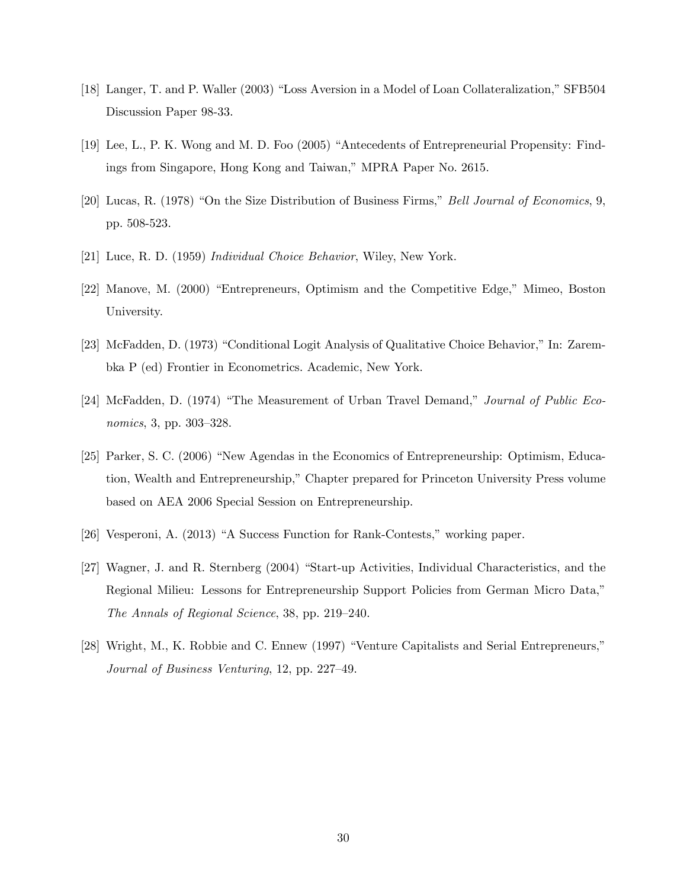- [18] Langer, T. and P. Waller (2003) "Loss Aversion in a Model of Loan Collateralization," SFB504 Discussion Paper 98-33.
- [19] Lee, L., P. K. Wong and M. D. Foo (2005) "Antecedents of Entrepreneurial Propensity: Findings from Singapore, Hong Kong and Taiwan," MPRA Paper No. 2615.
- [20] Lucas, R. (1978) "On the Size Distribution of Business Firms," Bell Journal of Economics, 9, pp. 508-523.
- [21] Luce, R. D. (1959) Individual Choice Behavior, Wiley, New York.
- [22] Manove, M. (2000) "Entrepreneurs, Optimism and the Competitive Edge," Mimeo, Boston University.
- [23] McFadden, D. (1973) "Conditional Logit Analysis of Qualitative Choice Behavior," In: Zarembka P (ed) Frontier in Econometrics. Academic, New York.
- [24] McFadden, D. (1974) "The Measurement of Urban Travel Demand," Journal of Public Economics, 3, pp.  $303-328$ .
- [25] Parker, S. C. (2006) "New Agendas in the Economics of Entrepreneurship: Optimism, Education, Wealth and Entrepreneurship," Chapter prepared for Princeton University Press volume based on AEA 2006 Special Session on Entrepreneurship.
- [26] Vesperoni, A. (2013) "A Success Function for Rank-Contests," working paper.
- [27] Wagner, J. and R. Sternberg (2004) "Start-up Activities, Individual Characteristics, and the Regional Milieu: Lessons for Entrepreneurship Support Policies from German Micro Data," The Annals of Regional Science, 38, pp.  $219-240$ .
- [28] Wright, M., K. Robbie and C. Ennew (1997) "Venture Capitalists and Serial Entrepreneurs," Journal of Business Venturing, 12, pp.  $227-49$ .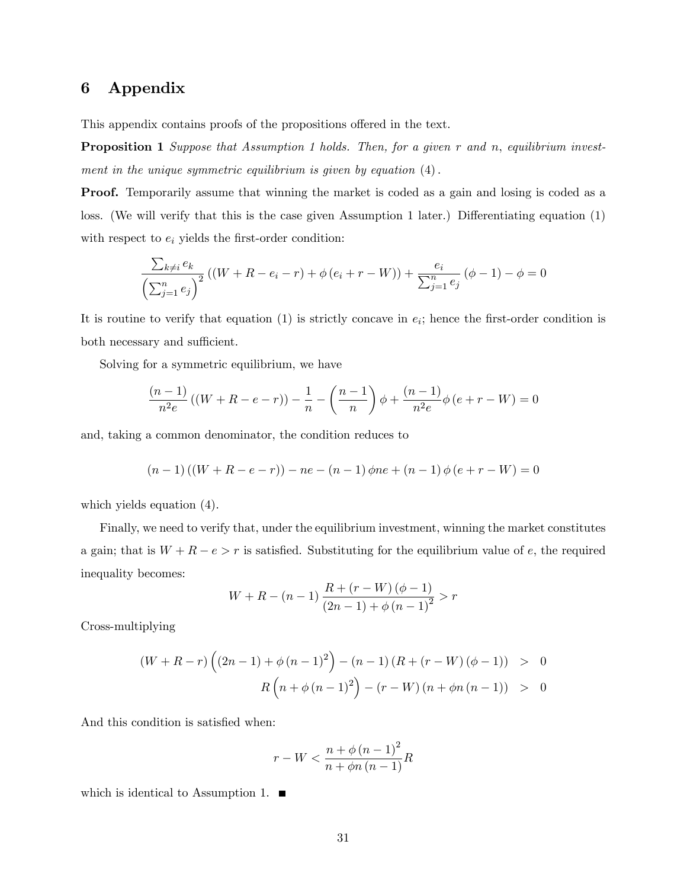# 6 Appendix

This appendix contains proofs of the propositions offered in the text.

Proposition 1 Suppose that Assumption 1 holds. Then, for a given r and n, equilibrium investment in the unique symmetric equilibrium is given by equation  $(4)$ .

**Proof.** Temporarily assume that winning the market is coded as a gain and losing is coded as a loss. (We will verify that this is the case given Assumption 1 later.) Differentiating equation  $(1)$ with respect to  $e_i$  yields the first-order condition:

$$
\frac{\sum_{k\neq i} e_k}{\left(\sum_{j=1}^n e_j\right)^2} \left( (W + R - e_i - r) + \phi\left(e_i + r - W\right)\right) + \frac{e_i}{\sum_{j=1}^n e_j} \left(\phi - 1\right) - \phi = 0
$$

It is routine to verify that equation (1) is strictly concave in  $e_i$ ; hence the first-order condition is both necessary and sufficient.

Solving for a symmetric equilibrium, we have

$$
\frac{(n-1)}{n^2 e} ((W + R - e - r)) - \frac{1}{n} - \left(\frac{n-1}{n}\right)\phi + \frac{(n-1)}{n^2 e}\phi (e + r - W) = 0
$$

and, taking a common denominator, the condition reduces to

$$
(n-1)((W + R - e - r)) - ne - (n - 1)\phi ne + (n - 1)\phi (e + r - W) = 0
$$

which yields equation (4).

Finally, we need to verify that, under the equilibrium investment, winning the market constitutes a gain; that is  $W + R - e > r$  is satisfied. Substituting for the equilibrium value of e, the required inequality becomes:

$$
W + R - (n - 1) \frac{R + (r - W)(\phi - 1)}{(2n - 1) + \phi (n - 1)^2} > r
$$

Cross-multiplying

$$
(W + R - r) ((2n - 1) + \phi (n - 1)^{2}) - (n - 1) (R + (r - W) (\phi - 1)) > 0
$$
  

$$
R (n + \phi (n - 1)^{2}) - (r - W) (n + \phi n (n - 1)) > 0
$$

And this condition is satisfied when:

$$
r - W < \frac{n + \phi\left(n - 1\right)^2}{n + \phi n \left(n - 1\right)} R
$$

which is identical to Assumption 1.  $\blacksquare$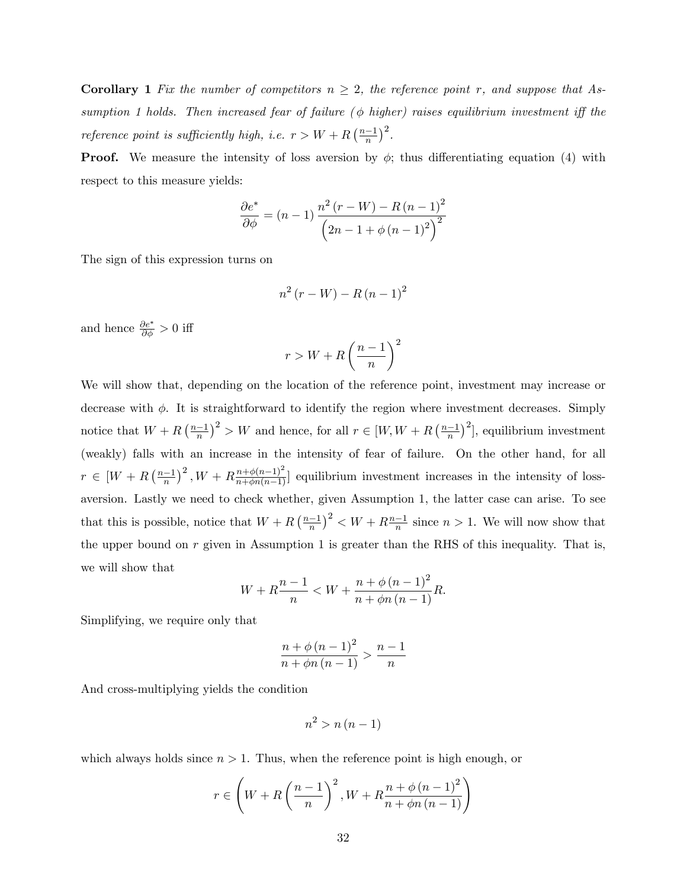**Corollary 1** Fix the number of competitors  $n \geq 2$ , the reference point r, and suppose that Assumption 1 holds. Then increased fear of failure  $(\phi$  higher) raises equilibrium investment iff the reference point is sufficiently high, i.e.  $r > W + R\left(\frac{n-1}{n}\right)^2$ .

**Proof.** We measure the intensity of loss aversion by  $\phi$ ; thus differentiating equation (4) with respect to this measure yields:

$$
\frac{\partial e^*}{\partial \phi} = (n-1) \frac{n^2 (r - W) - R (n - 1)^2}{(2n - 1 + \phi (n - 1)^2)^2}
$$

The sign of this expression turns on

$$
n^{2}(r - W) - R (n - 1)^{2}
$$

and hence  $\frac{\partial e^*}{\partial \phi} > 0$  iff

$$
r > W + R\left(\frac{n-1}{n}\right)^2
$$

We will show that, depending on the location of the reference point, investment may increase or decrease with  $\phi$ . It is straightforward to identify the region where investment decreases. Simply notice that  $W + R\left(\frac{n-1}{n}\right)^2 > W$  and hence, for all  $r \in [W, W + R\left(\frac{n-1}{n}\right)^2]$ , equilibrium investment (weakly) falls with an increase in the intensity of fear of failure. On the other hand, for all  $r \in [W + R(\frac{n-1}{n})^2, W + R^{\frac{n+\phi(n-1)}{n+\phi n(n-1)}}]$  equilibrium investment increases in the intensity of lossaversion. Lastly we need to check whether, given Assumption 1, the latter case can arise. To see that this is possible, notice that  $W + R\left(\frac{n-1}{n}\right)^2 < W + R\frac{n-1}{n}$  since  $n > 1$ . We will now show that the upper bound on r given in Assumption 1 is greater than the RHS of this inequality. That is, we will show that

$$
W + R\frac{n-1}{n} < W + \frac{n + \phi(n-1)^2}{n + \phi n(n-1)}R.
$$

Simplifying, we require only that

$$
\frac{n + \phi(n-1)^2}{n + \phi n(n-1)} > \frac{n-1}{n}
$$

And cross-multiplying yields the condition

$$
n^2 > n\left(n-1\right)
$$

which always holds since  $n > 1$ . Thus, when the reference point is high enough, or

$$
r \in \left(W + R\left(\frac{n-1}{n}\right)^2, W + R\frac{n+\phi(n-1)^2}{n+\phi n(n-1)}\right)
$$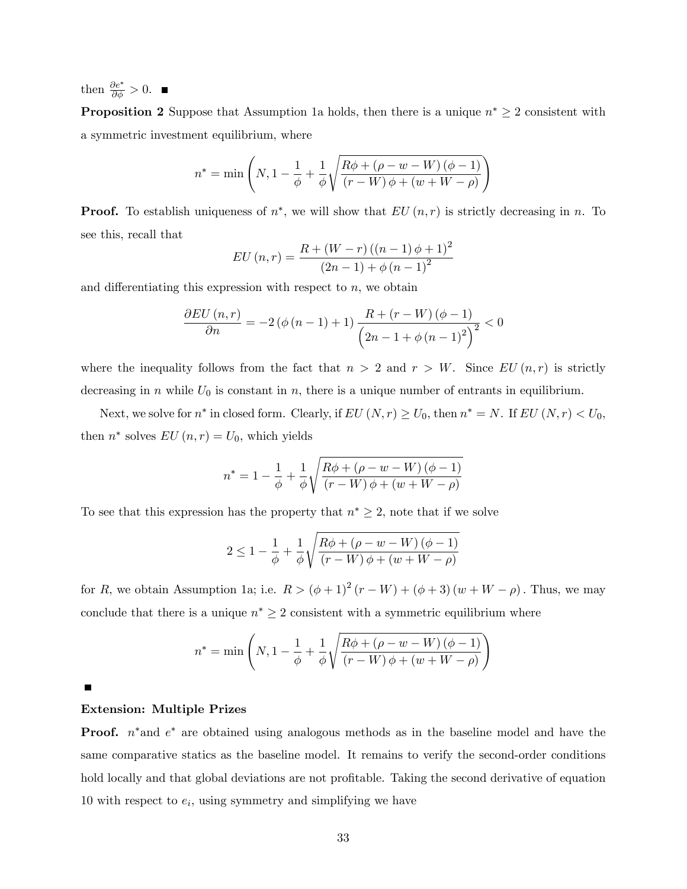then  $\frac{\partial e^*}{\partial \phi} > 0$ .

**Proposition 2** Suppose that Assumption 1a holds, then there is a unique  $n^* \geq 2$  consistent with a symmetric investment equilibrium, where

$$
n^* = \min\left(N, 1 - \frac{1}{\phi} + \frac{1}{\phi} \sqrt{\frac{R\phi + (\rho - w - W)(\phi - 1)}{(r - W)\phi + (w + W - \rho)}}\right)
$$

**Proof.** To establish uniqueness of  $n^*$ , we will show that  $EU(n,r)$  is strictly decreasing in n. To see this, recall that

$$
EU(n,r) = \frac{R + (W - r) ((n - 1) \phi + 1)^2}{(2n - 1) + \phi (n - 1)^2}
$$

and differentiating this expression with respect to  $n$ , we obtain

$$
\frac{\partial EU(n,r)}{\partial n} = -2(\phi(n-1)+1)\frac{R+(r-W)(\phi-1)}{(2n-1+\phi(n-1)^2)^2} < 0
$$

where the inequality follows from the fact that  $n > 2$  and  $r > W$ . Since  $EU(n,r)$  is strictly decreasing in n while  $U_0$  is constant in n, there is a unique number of entrants in equilibrium.

Next, we solve for  $n^*$  in closed form. Clearly, if  $EU(N,r) \ge U_0$ , then  $n^* = N$ . If  $EU(N,r) < U_0$ , then  $n^*$  solves  $EU(n,r) = U_0$ , which yields

$$
n^* = 1 - \frac{1}{\phi} + \frac{1}{\phi} \sqrt{\frac{R\phi + (\rho - w - W)(\phi - 1)}{(r - W)\phi + (w + W - \rho)}}
$$

To see that this expression has the property that  $n^* \geq 2$ , note that if we solve

$$
2 \le 1 - \frac{1}{\phi} + \frac{1}{\phi} \sqrt{\frac{R\phi + (\rho - w - W)(\phi - 1)}{(r - W)\phi + (w + W - \rho)}}
$$

for R, we obtain Assumption 1a; i.e.  $R > (\phi + 1)^2 (r - W) + (\phi + 3) (w + W - \rho)$ . Thus, we may conclude that there is a unique  $n^* \geq 2$  consistent with a symmetric equilibrium where

$$
n^* = \min\left(N, 1 - \frac{1}{\phi} + \frac{1}{\phi} \sqrt{\frac{R\phi + (\rho - w - W)(\phi - 1)}{(r - W)\phi + (w + W - \rho)}}\right)
$$

## Extension: Multiple Prizes

**Proof.**  $n^*$  and  $e^*$  are obtained using analogous methods as in the baseline model and have the same comparative statics as the baseline model. It remains to verify the second-order conditions hold locally and that global deviations are not profitable. Taking the second derivative of equation 10 with respect to  $e_i$ , using symmetry and simplifying we have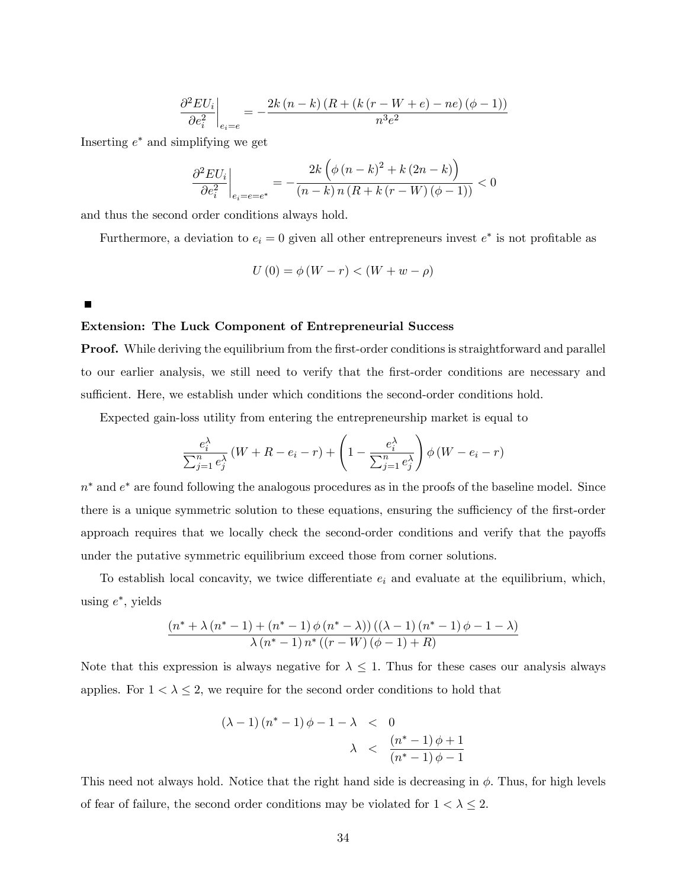$$
\left. \frac{\partial^2 EU_i}{\partial e_i^2} \right|_{e_i = e} = -\frac{2k(n-k)(R + (k(r - W + e) - ne)(\phi - 1))}{n^3 e^2}
$$

Inserting  $e^*$  and simplifying we get

$$
\frac{\partial^{2} EU_{i}}{\partial e_{i}^{2}}\bigg|_{e_{i}=e=e^{*}}=-\frac{2k\left(\phi\left(n-k\right)^{2}+k\left(2n-k\right)\right)}{\left(n-k\right)n\left(R+k\left(r-W\right)\left(\phi-1\right)\right)}<0
$$

and thus the second order conditions always hold.

Furthermore, a deviation to  $e_i = 0$  given all other entrepreneurs invest  $e^*$  is not profitable as

$$
U(0) = \phi(W - r) < (W + w - \rho)
$$

## Extension: The Luck Component of Entrepreneurial Success

**Proof.** While deriving the equilibrium from the first-order conditions is straightforward and parallel to our earlier analysis, we still need to verify that the first-order conditions are necessary and sufficient. Here, we establish under which conditions the second-order conditions hold.

Expected gain-loss utility from entering the entrepreneurship market is equal to

$$
\frac{e_i^{\lambda}}{\sum_{j=1}^n e_j^{\lambda}} \left( W + R - e_i - r \right) + \left( 1 - \frac{e_i^{\lambda}}{\sum_{j=1}^n e_j^{\lambda}} \right) \phi \left( W - e_i - r \right)
$$

 $n^*$  and  $e^*$  are found following the analogous procedures as in the proofs of the baseline model. Since there is a unique symmetric solution to these equations, ensuring the sufficiency of the first-order approach requires that we locally check the second-order conditions and verify that the payoffs under the putative symmetric equilibrium exceed those from corner solutions.

To establish local concavity, we twice differentiate  $e_i$  and evaluate at the equilibrium, which, using  $e^*$ , yields

$$
\frac{(n^* + \lambda (n^* - 1) + (n^* - 1) \phi (n^* - \lambda)) ((\lambda - 1) (n^* - 1) \phi - 1 - \lambda)}{\lambda (n^* - 1) n^* ((r - W) (\phi - 1) + R)}
$$

Note that this expression is always negative for  $\lambda \leq 1$ . Thus for these cases our analysis always applies. For  $1 < \lambda \leq 2$ , we require for the second order conditions to hold that

$$
(\lambda - 1) (n^* - 1) \phi - 1 - \lambda < 0
$$
  

$$
\lambda < \frac{(n^* - 1) \phi + 1}{(n^* - 1) \phi - 1}
$$

This need not always hold. Notice that the right hand side is decreasing in  $\phi$ . Thus, for high levels of fear of failure, the second order conditions may be violated for  $1 < \lambda \leq 2$ .